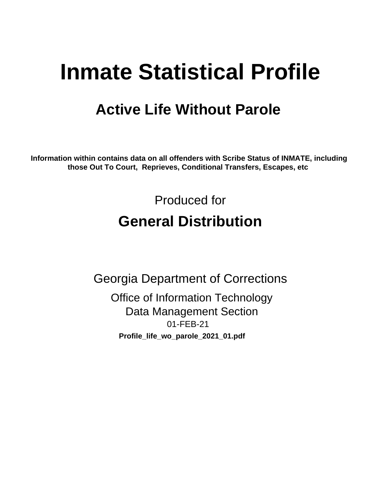# **Inmate Statistical Profile**

## **Active Life Without Parole**

Information within contains data on all offenders with Scribe Status of INMATE, including those Out To Court, Reprieves, Conditional Transfers, Escapes, etc

> Produced for **General Distribution**

**Georgia Department of Corrections Office of Information Technology Data Management Section** 01-FEB-21 Profile\_life\_wo\_parole\_2021\_01.pdf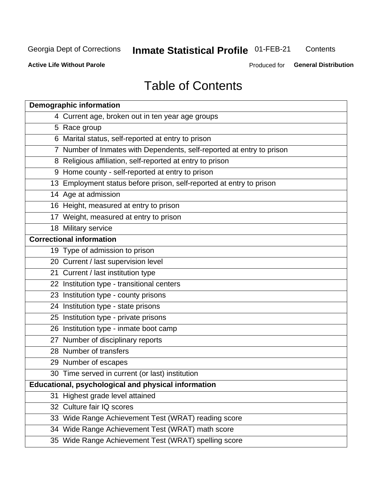## **Inmate Statistical Profile 01-FEB-21**

Contents

**Active Life Without Parole** 

Produced for General Distribution

## **Table of Contents**

| <b>Demographic information</b>                                        |
|-----------------------------------------------------------------------|
| 4 Current age, broken out in ten year age groups                      |
| 5 Race group                                                          |
| 6 Marital status, self-reported at entry to prison                    |
| 7 Number of Inmates with Dependents, self-reported at entry to prison |
| 8 Religious affiliation, self-reported at entry to prison             |
| 9 Home county - self-reported at entry to prison                      |
| 13 Employment status before prison, self-reported at entry to prison  |
| 14 Age at admission                                                   |
| 16 Height, measured at entry to prison                                |
| 17 Weight, measured at entry to prison                                |
| 18 Military service                                                   |
| <b>Correctional information</b>                                       |
| 19 Type of admission to prison                                        |
| 20 Current / last supervision level                                   |
| 21 Current / last institution type                                    |
| 22 Institution type - transitional centers                            |
| 23 Institution type - county prisons                                  |
| 24 Institution type - state prisons                                   |
| 25 Institution type - private prisons                                 |
| 26 Institution type - inmate boot camp                                |
| 27 Number of disciplinary reports                                     |
| 28 Number of transfers                                                |
| 29 Number of escapes                                                  |
| 30 Time served in current (or last) institution                       |
| Educational, psychological and physical information                   |
| 31 Highest grade level attained                                       |
| 32 Culture fair IQ scores                                             |
| 33 Wide Range Achievement Test (WRAT) reading score                   |
| 34 Wide Range Achievement Test (WRAT) math score                      |
| 35 Wide Range Achievement Test (WRAT) spelling score                  |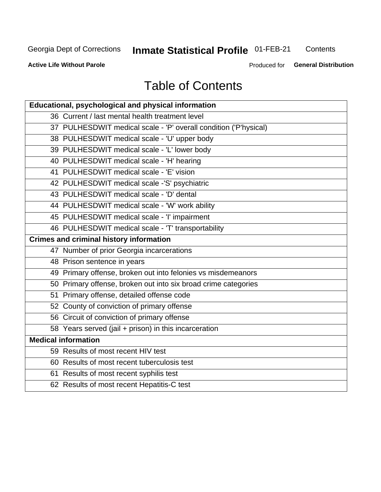## **Inmate Statistical Profile 01-FEB-21**

Contents

**Active Life Without Parole** 

Produced for General Distribution

## **Table of Contents**

| Educational, psychological and physical information              |
|------------------------------------------------------------------|
| 36 Current / last mental health treatment level                  |
| 37 PULHESDWIT medical scale - 'P' overall condition ('P'hysical) |
| 38 PULHESDWIT medical scale - 'U' upper body                     |
| 39 PULHESDWIT medical scale - 'L' lower body                     |
| 40 PULHESDWIT medical scale - 'H' hearing                        |
| 41 PULHESDWIT medical scale - 'E' vision                         |
| 42 PULHESDWIT medical scale -'S' psychiatric                     |
| 43 PULHESDWIT medical scale - 'D' dental                         |
| 44 PULHESDWIT medical scale - 'W' work ability                   |
| 45 PULHESDWIT medical scale - 'I' impairment                     |
| 46 PULHESDWIT medical scale - 'T' transportability               |
| <b>Crimes and criminal history information</b>                   |
| 47 Number of prior Georgia incarcerations                        |
| 48 Prison sentence in years                                      |
| 49 Primary offense, broken out into felonies vs misdemeanors     |
| 50 Primary offense, broken out into six broad crime categories   |
| 51 Primary offense, detailed offense code                        |
| 52 County of conviction of primary offense                       |
| 56 Circuit of conviction of primary offense                      |
| 58 Years served (jail + prison) in this incarceration            |
| <b>Medical information</b>                                       |
| 59 Results of most recent HIV test                               |
| 60 Results of most recent tuberculosis test                      |
| 61 Results of most recent syphilis test                          |
| 62 Results of most recent Hepatitis-C test                       |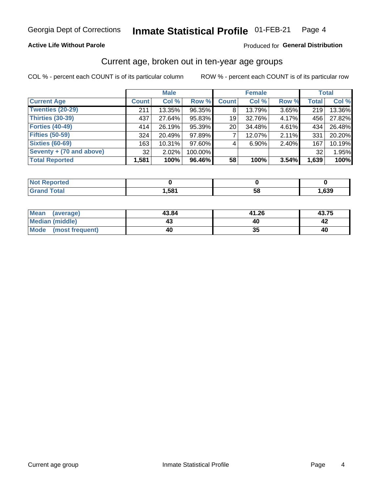### **Active Life Without Parole**

### **Produced for General Distribution**

### Current age, broken out in ten-year age groups

COL % - percent each COUNT is of its particular column

|                          | <b>Male</b>  |          |         |              | <b>Female</b> |       |              | <b>Total</b> |  |
|--------------------------|--------------|----------|---------|--------------|---------------|-------|--------------|--------------|--|
| <b>Current Age</b>       | <b>Count</b> | Col %    | Row %   | <b>Count</b> | Col %         | Row % | <b>Total</b> | Col %        |  |
| <b>Twenties (20-29)</b>  | 211          | 13.35%   | 96.35%  | 8            | 13.79%        | 3.65% | 219          | 13.36%       |  |
| Thirties (30-39)         | 437          | 27.64%   | 95.83%  | 19           | 32.76%        | 4.17% | 456          | 27.82%       |  |
| <b>Forties (40-49)</b>   | 414          | 26.19%   | 95.39%  | 20           | 34.48%        | 4.61% | 434          | 26.48%       |  |
| <b>Fifties (50-59)</b>   | 324          | 20.49%   | 97.89%  |              | 12.07%        | 2.11% | 331          | 20.20%       |  |
| <b>Sixties (60-69)</b>   | 163          | 10.31%   | 97.60%  | 4            | 6.90%         | 2.40% | 167          | 10.19%       |  |
| Seventy + (70 and above) | 32           | $2.02\%$ | 100.00% |              |               |       | 32           | 1.95%        |  |
| <b>Total Reported</b>    | 1,581        | 100%     | 96.46%  | 58           | 100%          | 3.54% | 1,639        | 100%         |  |

| <b>Reported</b><br><b>NOT</b>    |      |    |      |
|----------------------------------|------|----|------|
| <b>cotal</b><br>$\mathbf{v}$ and | ,581 | 58 | ,639 |

| <b>Mean</b><br>(average) | 43.84 | 41.26 | 43.75 |
|--------------------------|-------|-------|-------|
| Median (middle)          |       | 40    |       |
| Mode<br>(most frequent)  | 40    | vu    | 40    |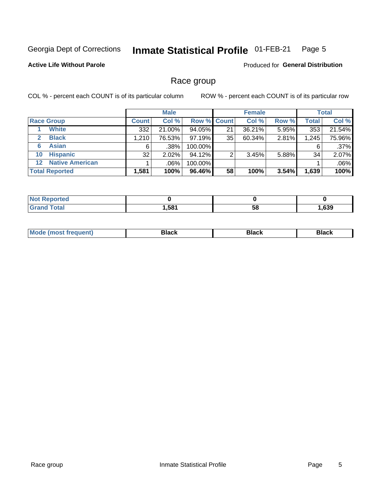#### **Inmate Statistical Profile 01-FEB-21** Page 5

### **Active Life Without Parole**

Produced for General Distribution

### Race group

COL % - percent each COUNT is of its particular column

|                                   |              | <b>Male</b> |                    |    | <b>Female</b> |       |              | <b>Total</b> |  |
|-----------------------------------|--------------|-------------|--------------------|----|---------------|-------|--------------|--------------|--|
| <b>Race Group</b>                 | <b>Count</b> | Col %       | <b>Row % Count</b> |    | Col %         | Row % | <b>Total</b> | Col %        |  |
| <b>White</b>                      | 332          | 21.00%      | 94.05%             | 21 | 36.21%        | 5.95% | 353          | 21.54%       |  |
| <b>Black</b><br>$\mathbf{2}$      | 1,210        | 76.53%      | 97.19%             | 35 | 60.34%        | 2.81% | 1,245        | 75.96%       |  |
| <b>Asian</b><br>6                 | 6            | .38%        | 100.00%            |    |               |       | 6            | $.37\%$      |  |
| <b>Hispanic</b><br>10             | 32           | $2.02\%$    | 94.12%             |    | 3.45%         | 5.88% | 34           | 2.07%        |  |
| <b>Native American</b><br>$12 \,$ |              | $.06\%$     | 100.00%            |    |               |       |              | .06%         |  |
| <b>Total Reported</b>             | 1,581        | 100%        | 96.46%             | 58 | 100%          | 3.54% | 1,639        | 100%         |  |

| <b>rted</b> |      |    |      |
|-------------|------|----|------|
| $F0+0$      | .581 | 58 | ,639 |

| M | - - - |  |
|---|-------|--|
|   |       |  |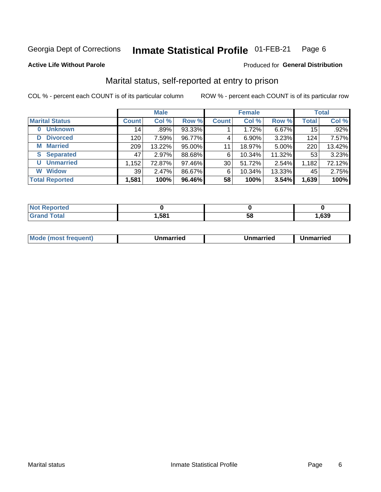#### Inmate Statistical Profile 01-FEB-21 Page 6

**Active Life Without Parole** 

### Produced for General Distribution

## Marital status, self-reported at entry to prison

COL % - percent each COUNT is of its particular column

|                            | <b>Male</b>  |        |        | <b>Female</b> |          |        | <b>Total</b> |        |
|----------------------------|--------------|--------|--------|---------------|----------|--------|--------------|--------|
| <b>Marital Status</b>      | <b>Count</b> | Col %  | Row %  | <b>Count</b>  | Col %    | Row %  | <b>Total</b> | Col %  |
| <b>Unknown</b><br>$\bf{0}$ | 14           | .89%   | 93.33% |               | 1.72%    | 6.67%  | 15           | .92%   |
| <b>Divorced</b><br>D       | 120          | 7.59%  | 96.77% | 4             | $6.90\%$ | 3.23%  | 124          | 7.57%  |
| <b>Married</b><br>М        | 209          | 13.22% | 95.00% | 11            | 18.97%   | 5.00%  | 220          | 13.42% |
| <b>Separated</b><br>S      | 47           | 2.97%  | 88.68% | 6             | 10.34%   | 11.32% | 53           | 3.23%  |
| <b>Unmarried</b><br>U      | 1,152        | 72.87% | 97.46% | 30            | 51.72%   | 2.54%  | 1,182        | 72.12% |
| <b>Widow</b><br>W          | 39           | 2.47%  | 86.67% | 6             | 10.34%   | 13.33% | 45           | 2.75%  |
| <b>Total Reported</b>      | 1,581        | 100%   | 96.46% | 58            | 100%     | 3.54%  | 1,639        | 100%   |

| <b>Not Reported</b><br>. <b>.</b> |       |    |      |
|-----------------------------------|-------|----|------|
| Total                             | 581,ا | Эč | .639 |

|  | M | . | Unmarried | າmarried<br>_____ |
|--|---|---|-----------|-------------------|
|--|---|---|-----------|-------------------|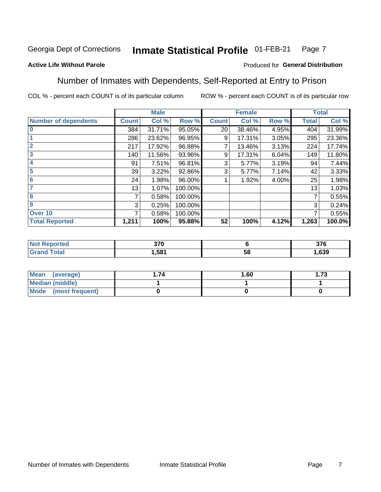#### Inmate Statistical Profile 01-FEB-21 Page 7

### **Active Life Without Parole**

### Produced for General Distribution

### Number of Inmates with Dependents, Self-Reported at Entry to Prison

COL % - percent each COUNT is of its particular column

|                             |                 | <b>Male</b> |         |              | <b>Female</b> |       |              | <b>Total</b> |
|-----------------------------|-----------------|-------------|---------|--------------|---------------|-------|--------------|--------------|
| <b>Number of dependents</b> | <b>Count</b>    | Col %       | Row %   | <b>Count</b> | Col %         | Row % | <b>Total</b> | Col %        |
| $\bf{0}$                    | 384             | 31.71%      | 95.05%  | 20           | 38.46%        | 4.95% | 404          | 31.99%       |
|                             | 286             | 23.62%      | 96.95%  | 9            | 17.31%        | 3.05% | 295          | 23.36%       |
| $\overline{2}$              | 217             | 17.92%      | 96.88%  | 7            | 13.46%        | 3.13% | 224          | 17.74%       |
| 3                           | 140             | 11.56%      | 93.96%  | 9            | 17.31%        | 6.04% | 149          | 11.80%       |
| 4                           | 91              | 7.51%       | 96.81%  | 3            | 5.77%         | 3.19% | 94           | 7.44%        |
| 5                           | 39 <sub>1</sub> | 3.22%       | 92.86%  | 3            | 5.77%         | 7.14% | 42           | 3.33%        |
| 6                           | 24              | 1.98%       | 96.00%  |              | 1.92%         | 4.00% | 25           | 1.98%        |
| 7                           | 13              | 1.07%       | 100.00% |              |               |       | 13           | 1.03%        |
| 8                           | 7               | 0.58%       | 100.00% |              |               |       | 7            | 0.55%        |
| $\boldsymbol{9}$            | 3               | 0.25%       | 100.00% |              |               |       | 3            | 0.24%        |
| Over 10                     | 7               | 0.58%       | 100.00% |              |               |       | 7            | 0.55%        |
| <b>Total Reported</b>       | 1,211           | 100%        | 95.88%  | 52           | 100%          | 4.12% | 1,263        | 100.0%       |

| 270<br>J/U<br>- - |          | <b>276</b><br>ა / O |
|-------------------|----------|---------------------|
| .581              | . .<br>◡ | ,639                |

| <b>Mean</b><br>(average) | 1.60 | - 72<br>I. I J |
|--------------------------|------|----------------|
| Median (middle)          |      |                |
| Mode<br>(most frequent)  |      |                |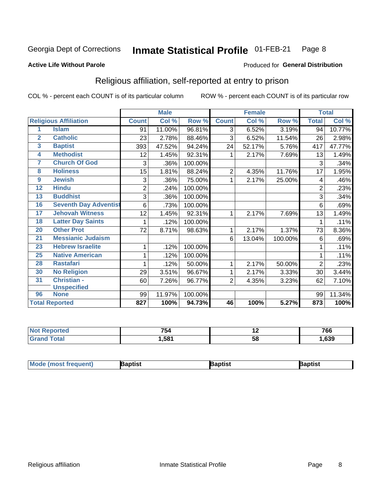#### **Inmate Statistical Profile 01-FEB-21** Page 8

#### **Active Life Without Parole**

### Produced for General Distribution

## Religious affiliation, self-reported at entry to prison

COL % - percent each COUNT is of its particular column

|                         |                              |                | <b>Male</b> |         |                | <b>Female</b> |         |                | <b>Total</b> |
|-------------------------|------------------------------|----------------|-------------|---------|----------------|---------------|---------|----------------|--------------|
|                         | <b>Religious Affiliation</b> | <b>Count</b>   | Col %       | Row %   | <b>Count</b>   | Col %         | Row %   | <b>Total</b>   | Col %        |
| 1                       | <b>Islam</b>                 | 91             | 11.00%      | 96.81%  | 3              | 6.52%         | 3.19%   | 94             | 10.77%       |
| $\overline{2}$          | <b>Catholic</b>              | 23             | 2.78%       | 88.46%  | 3              | 6.52%         | 11.54%  | 26             | 2.98%        |
| $\overline{\mathbf{3}}$ | <b>Baptist</b>               | 393            | 47.52%      | 94.24%  | 24             | 52.17%        | 5.76%   | 417            | 47.77%       |
| $\overline{\mathbf{4}}$ | <b>Methodist</b>             | 12             | 1.45%       | 92.31%  |                | 2.17%         | 7.69%   | 13             | 1.49%        |
| 7                       | <b>Church Of God</b>         | 3              | .36%        | 100.00% |                |               |         | 3              | .34%         |
| 8                       | <b>Holiness</b>              | 15             | 1.81%       | 88.24%  | 2              | 4.35%         | 11.76%  | 17             | 1.95%        |
| $\boldsymbol{9}$        | <b>Jewish</b>                | 3              | .36%        | 75.00%  | 1              | 2.17%         | 25.00%  | 4              | .46%         |
| $\overline{12}$         | <b>Hindu</b>                 | $\overline{2}$ | .24%        | 100.00% |                |               |         | $\overline{2}$ | .23%         |
| 13                      | <b>Buddhist</b>              | 3              | .36%        | 100.00% |                |               |         | 3              | .34%         |
| 16                      | <b>Seventh Day Adventist</b> | 6              | .73%        | 100.00% |                |               |         | 6              | .69%         |
| 17                      | <b>Jehovah Witness</b>       | 12             | 1.45%       | 92.31%  |                | 2.17%         | 7.69%   | 13             | 1.49%        |
| 18                      | <b>Latter Day Saints</b>     | 1              | .12%        | 100.00% |                |               |         | 1              | .11%         |
| 20                      | <b>Other Prot</b>            | 72             | 8.71%       | 98.63%  | 1              | 2.17%         | 1.37%   | 73             | 8.36%        |
| 21                      | <b>Messianic Judaism</b>     |                |             |         | 6              | 13.04%        | 100.00% | 6              | .69%         |
| 23                      | <b>Hebrew Israelite</b>      | 1              | .12%        | 100.00% |                |               |         |                | .11%         |
| 25                      | <b>Native American</b>       | 1              | .12%        | 100.00% |                |               |         |                | .11%         |
| 28                      | <b>Rastafari</b>             |                | .12%        | 50.00%  | 1              | 2.17%         | 50.00%  | $\overline{2}$ | .23%         |
| 30                      | <b>No Religion</b>           | 29             | 3.51%       | 96.67%  | 1              | 2.17%         | 3.33%   | 30             | 3.44%        |
| 31                      | Christian -                  | 60             | 7.26%       | 96.77%  | $\overline{2}$ | 4.35%         | 3.23%   | 62             | 7.10%        |
|                         | <b>Unspecified</b>           |                |             |         |                |               |         |                |              |
| 96                      | <b>None</b>                  | 99             | 11.97%      | 100.00% |                |               |         | 99             | 11.34%       |
|                         | <b>Total Reported</b>        | 827            | 100%        | 94.73%  | 46             | 100%          | 5.27%   | 873            | 100%         |

| τeα | --<br>'54 | . . | 766 |
|-----|-----------|-----|-----|
|     | .,581     | ာင  | 639 |

| <b>Mode (most frequent)</b> | aptist | Baptist | Baptist |
|-----------------------------|--------|---------|---------|
|-----------------------------|--------|---------|---------|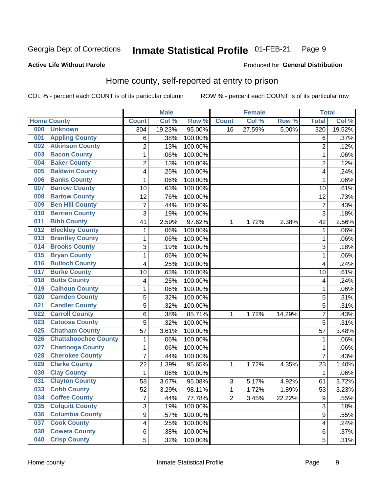#### Inmate Statistical Profile 01-FEB-21 Page 9

### **Active Life Without Parole**

#### Produced for General Distribution

## Home county, self-reported at entry to prison

COL % - percent each COUNT is of its particular column

|     |                             |                         | <b>Male</b> |         |                | <b>Female</b> |        | <b>Total</b>     |        |
|-----|-----------------------------|-------------------------|-------------|---------|----------------|---------------|--------|------------------|--------|
|     | <b>Home County</b>          | <b>Count</b>            | Col %       | Row %   | <b>Count</b>   | Col %         | Row %  | <b>Total</b>     | Col %  |
| 000 | <b>Unknown</b>              | 304                     | 19.23%      | 95.00%  | 16             | 27.59%        | 5.00%  | 320              | 19.52% |
| 001 | <b>Appling County</b>       | 6                       | .38%        | 100.00% |                |               |        | 6                | .37%   |
| 002 | <b>Atkinson County</b>      | $\overline{2}$          | .13%        | 100.00% |                |               |        | $\overline{2}$   | .12%   |
| 003 | <b>Bacon County</b>         | $\mathbf 1$             | .06%        | 100.00% |                |               |        | 1                | .06%   |
| 004 | <b>Baker County</b>         | $\overline{2}$          | .13%        | 100.00% |                |               |        | $\overline{2}$   | .12%   |
| 005 | <b>Baldwin County</b>       | 4                       | .25%        | 100.00% |                |               |        | 4                | .24%   |
| 006 | <b>Banks County</b>         | $\mathbf{1}$            | .06%        | 100.00% |                |               |        | 1                | .06%   |
| 007 | <b>Barrow County</b>        | 10                      | .63%        | 100.00% |                |               |        | 10               | .61%   |
| 008 | <b>Bartow County</b>        | 12                      | .76%        | 100.00% |                |               |        | 12               | .73%   |
| 009 | <b>Ben Hill County</b>      | $\overline{7}$          | .44%        | 100.00% |                |               |        | $\overline{7}$   | .43%   |
| 010 | <b>Berrien County</b>       | 3                       | .19%        | 100.00% |                |               |        | 3                | .18%   |
| 011 | <b>Bibb County</b>          | 41                      | 2.59%       | 97.62%  | 1              | 1.72%         | 2.38%  | 42               | 2.56%  |
| 012 | <b>Bleckley County</b>      | 1                       | .06%        | 100.00% |                |               |        | 1                | .06%   |
| 013 | <b>Brantley County</b>      | $\mathbf 1$             | .06%        | 100.00% |                |               |        | 1                | .06%   |
| 014 | <b>Brooks County</b>        | 3                       | .19%        | 100.00% |                |               |        | 3                | .18%   |
| 015 | <b>Bryan County</b>         | $\mathbf 1$             | .06%        | 100.00% |                |               |        | 1                | .06%   |
| 016 | <b>Bulloch County</b>       | 4                       | .25%        | 100.00% |                |               |        | $\overline{4}$   | .24%   |
| 017 | <b>Burke County</b>         | 10                      | .63%        | 100.00% |                |               |        | 10               | .61%   |
| 018 | <b>Butts County</b>         | 4                       | .25%        | 100.00% |                |               |        | 4                | .24%   |
| 019 | <b>Calhoun County</b>       | $\mathbf 1$             | .06%        | 100.00% |                |               |        | 1                | .06%   |
| 020 | <b>Camden County</b>        | 5                       | .32%        | 100.00% |                |               |        | 5                | .31%   |
| 021 | <b>Candler County</b>       | 5                       | .32%        | 100.00% |                |               |        | 5                | .31%   |
| 022 | <b>Carroll County</b>       | 6                       | .38%        | 85.71%  | 1              | 1.72%         | 14.29% | 7                | .43%   |
| 023 | <b>Catoosa County</b>       | 5                       | .32%        | 100.00% |                |               |        | 5                | .31%   |
| 025 | <b>Chatham County</b>       | 57                      | 3.61%       | 100.00% |                |               |        | 57               | 3.48%  |
| 026 | <b>Chattahoochee County</b> | 1                       | .06%        | 100.00% |                |               |        | 1                | .06%   |
| 027 | <b>Chattooga County</b>     | $\mathbf 1$             | .06%        | 100.00% |                |               |        | 1                | .06%   |
| 028 | <b>Cherokee County</b>      | $\overline{7}$          | .44%        | 100.00% |                |               |        | $\overline{7}$   | .43%   |
| 029 | <b>Clarke County</b>        | 22                      | 1.39%       | 95.65%  | 1              | 1.72%         | 4.35%  | 23               | 1.40%  |
| 030 | <b>Clay County</b>          | $\mathbf{1}$            | .06%        | 100.00% |                |               |        | 1                | .06%   |
| 031 | <b>Clayton County</b>       | 58                      | 3.67%       | 95.08%  | $\sqrt{3}$     | 5.17%         | 4.92%  | 61               | 3.72%  |
| 033 | <b>Cobb County</b>          | 52                      | 3.29%       | 98.11%  | 1              | 1.72%         | 1.89%  | 53               | 3.23%  |
| 034 | <b>Coffee County</b>        | $\overline{7}$          | .44%        | 77.78%  | $\overline{2}$ | 3.45%         | 22.22% | $\boldsymbol{9}$ | .55%   |
| 035 | <b>Colquitt County</b>      | 3                       | .19%        | 100.00% |                |               |        | $\overline{3}$   | .18%   |
| 036 | <b>Columbia County</b>      | $\overline{9}$          | .57%        | 100.00% |                |               |        | 9                | .55%   |
| 037 | <b>Cook County</b>          | $\overline{\mathbf{4}}$ | .25%        | 100.00% |                |               |        | 4                | .24%   |
| 038 | <b>Coweta County</b>        | 6                       | .38%        | 100.00% |                |               |        | 6                | .37%   |
| 040 | <b>Crisp County</b>         | 5                       | .32%        | 100.00% |                |               |        | 5                | .31%   |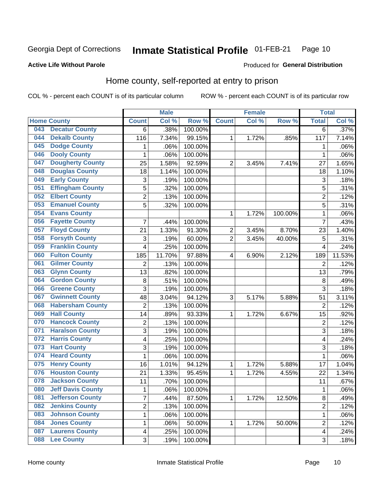#### Inmate Statistical Profile 01-FEB-21 Page 10

#### **Active Life Without Parole**

### Produced for General Distribution

## Home county, self-reported at entry to prison

COL % - percent each COUNT is of its particular column

|     |                          |                         | <b>Male</b> |                  |                | <b>Female</b> |         | <b>Total</b>            |        |
|-----|--------------------------|-------------------------|-------------|------------------|----------------|---------------|---------|-------------------------|--------|
|     | <b>Home County</b>       | <b>Count</b>            | Col %       | Row <sup>%</sup> | <b>Count</b>   | Col %         | Row %   | <b>Total</b>            | Col %  |
| 043 | <b>Decatur County</b>    | 6                       | .38%        | 100.00%          |                |               |         | $\overline{6}$          | .37%   |
| 044 | <b>Dekalb County</b>     | 116                     | 7.34%       | 99.15%           | 1              | 1.72%         | .85%    | 117                     | 7.14%  |
| 045 | <b>Dodge County</b>      | 1                       | .06%        | 100.00%          |                |               |         | 1                       | .06%   |
| 046 | <b>Dooly County</b>      | 1                       | .06%        | 100.00%          |                |               |         | 1                       | .06%   |
| 047 | <b>Dougherty County</b>  | 25                      | 1.58%       | 92.59%           | $\overline{2}$ | 3.45%         | 7.41%   | 27                      | 1.65%  |
| 048 | <b>Douglas County</b>    | 18                      | 1.14%       | 100.00%          |                |               |         | 18                      | 1.10%  |
| 049 | <b>Early County</b>      | 3                       | .19%        | 100.00%          |                |               |         | 3                       | .18%   |
| 051 | <b>Effingham County</b>  | 5                       | .32%        | 100.00%          |                |               |         | 5                       | .31%   |
| 052 | <b>Elbert County</b>     | $\overline{2}$          | .13%        | 100.00%          |                |               |         | $\overline{2}$          | .12%   |
| 053 | <b>Emanuel County</b>    | 5                       | .32%        | 100.00%          |                |               |         | 5                       | .31%   |
| 054 | <b>Evans County</b>      |                         |             |                  | 1              | 1.72%         | 100.00% | 1                       | .06%   |
| 056 | <b>Fayette County</b>    | 7                       | .44%        | 100.00%          |                |               |         | 7                       | .43%   |
| 057 | <b>Floyd County</b>      | 21                      | 1.33%       | 91.30%           | 2              | 3.45%         | 8.70%   | 23                      | 1.40%  |
| 058 | <b>Forsyth County</b>    | 3                       | .19%        | 60.00%           | $\overline{2}$ | 3.45%         | 40.00%  | 5                       | .31%   |
| 059 | <b>Franklin County</b>   | 4                       | .25%        | 100.00%          |                |               |         | 4                       | .24%   |
| 060 | <b>Fulton County</b>     | 185                     | 11.70%      | 97.88%           | 4              | 6.90%         | 2.12%   | 189                     | 11.53% |
| 061 | <b>Gilmer County</b>     | $\overline{2}$          | .13%        | 100.00%          |                |               |         | $\overline{2}$          | .12%   |
| 063 | <b>Glynn County</b>      | 13                      | .82%        | 100.00%          |                |               |         | 13                      | .79%   |
| 064 | <b>Gordon County</b>     | 8                       | .51%        | 100.00%          |                |               |         | 8                       | .49%   |
| 066 | <b>Greene County</b>     | 3                       | .19%        | 100.00%          |                |               |         | 3                       | .18%   |
| 067 | <b>Gwinnett County</b>   | 48                      | 3.04%       | 94.12%           | 3              | 5.17%         | 5.88%   | 51                      | 3.11%  |
| 068 | <b>Habersham County</b>  | $\overline{2}$          | .13%        | 100.00%          |                |               |         | $\overline{2}$          | .12%   |
| 069 | <b>Hall County</b>       | 14                      | .89%        | 93.33%           | 1              | 1.72%         | 6.67%   | 15                      | .92%   |
| 070 | <b>Hancock County</b>    | $\overline{2}$          | .13%        | 100.00%          |                |               |         | $\overline{2}$          | .12%   |
| 071 | <b>Haralson County</b>   | 3                       | .19%        | 100.00%          |                |               |         | 3                       | .18%   |
| 072 | <b>Harris County</b>     | 4                       | .25%        | 100.00%          |                |               |         | 4                       | .24%   |
| 073 | <b>Hart County</b>       | 3                       | .19%        | 100.00%          |                |               |         | 3                       | .18%   |
| 074 | <b>Heard County</b>      | 1                       | .06%        | 100.00%          |                |               |         | 1                       | .06%   |
| 075 | <b>Henry County</b>      | 16                      | 1.01%       | 94.12%           | 1              | 1.72%         | 5.88%   | 17                      | 1.04%  |
| 076 | <b>Houston County</b>    | 21                      | 1.33%       | 95.45%           | 1              | 1.72%         | 4.55%   | 22                      | 1.34%  |
| 078 | <b>Jackson County</b>    | 11                      | .70%        | 100.00%          |                |               |         | 11                      | .67%   |
| 080 | <b>Jeff Davis County</b> | 1                       | .06%        | 100.00%          |                |               |         | 1                       | .06%   |
| 081 | <b>Jefferson County</b>  | $\overline{7}$          | .44%        | 87.50%           | $\mathbf{1}$   | 1.72%         | 12.50%  | 8                       | .49%   |
| 082 | <b>Jenkins County</b>    | $\overline{2}$          | .13%        | 100.00%          |                |               |         | $\overline{2}$          | .12%   |
| 083 | <b>Johnson County</b>    | $\mathbf{1}$            | .06%        | 100.00%          |                |               |         | 1                       | .06%   |
| 084 | <b>Jones County</b>      | 1                       | .06%        | 50.00%           | 1              | 1.72%         | 50.00%  | $\overline{2}$          | .12%   |
| 087 | <b>Laurens County</b>    | $\overline{\mathbf{4}}$ | .25%        | 100.00%          |                |               |         | $\overline{\mathbf{4}}$ | .24%   |
| 088 | <b>Lee County</b>        | 3                       | .19%        | 100.00%          |                |               |         | 3                       | .18%   |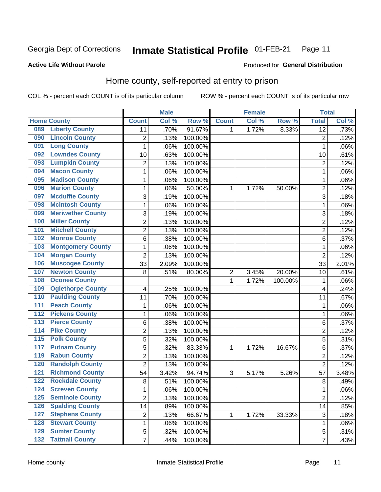#### Inmate Statistical Profile 01-FEB-21 Page 11

**Active Life Without Parole** 

Produced for General Distribution

## Home county, self-reported at entry to prison

COL % - percent each COUNT is of its particular column

|                  |                          |                | <b>Male</b> |         |                  | <b>Female</b> |         | <b>Total</b>    |        |
|------------------|--------------------------|----------------|-------------|---------|------------------|---------------|---------|-----------------|--------|
|                  | <b>Home County</b>       | <b>Count</b>   | Col %       | Row %   | <b>Count</b>     | Col %         | Row %   | <b>Total</b>    | Col %  |
| 089              | <b>Liberty County</b>    | 11             | .70%        | 91.67%  | $\mathbf{1}$     | 1.72%         | 8.33%   | $\overline{12}$ | .73%   |
| 090              | <b>Lincoln County</b>    | $\overline{c}$ | .13%        | 100.00% |                  |               |         | $\overline{2}$  | .12%   |
| 091              | <b>Long County</b>       | $\mathbf 1$    | .06%        | 100.00% |                  |               |         | 1               | .06%   |
| 092              | <b>Lowndes County</b>    | 10             | .63%        | 100.00% |                  |               |         | 10              | .61%   |
| 093              | <b>Lumpkin County</b>    | $\overline{2}$ | .13%        | 100.00% |                  |               |         | $\overline{2}$  | .12%   |
| 094              | <b>Macon County</b>      | $\mathbf 1$    | .06%        | 100.00% |                  |               |         | 1               | .06%   |
| 095              | <b>Madison County</b>    | $\mathbf 1$    | .06%        | 100.00% |                  |               |         | 1               | .06%   |
| 096              | <b>Marion County</b>     | $\mathbf 1$    | .06%        | 50.00%  | 1                | 1.72%         | 50.00%  | $\overline{2}$  | .12%   |
| 097              | <b>Mcduffie County</b>   | 3              | .19%        | 100.00% |                  |               |         | 3               | .18%   |
| 098              | <b>Mcintosh County</b>   | $\mathbf 1$    | .06%        | 100.00% |                  |               |         | 1               | .06%   |
| 099              | <b>Meriwether County</b> | $\mathfrak{B}$ | .19%        | 100.00% |                  |               |         | 3               | .18%   |
| 100              | <b>Miller County</b>     | $\overline{c}$ | .13%        | 100.00% |                  |               |         | $\overline{2}$  | .12%   |
| 101              | <b>Mitchell County</b>   | $\overline{2}$ | .13%        | 100.00% |                  |               |         | $\overline{2}$  | .12%   |
| 102              | <b>Monroe County</b>     | 6              | .38%        | 100.00% |                  |               |         | 6               | .37%   |
| 103              | <b>Montgomery County</b> | $\mathbf 1$    | .06%        | 100.00% |                  |               |         | 1               | .06%   |
| 104              | <b>Morgan County</b>     | $\overline{2}$ | .13%        | 100.00% |                  |               |         | $\overline{2}$  | .12%   |
| 106              | <b>Muscogee County</b>   | 33             | 2.09%       | 100.00% |                  |               |         | 33              | 2.01%  |
| 107              | <b>Newton County</b>     | 8              | .51%        | 80.00%  | $\boldsymbol{2}$ | 3.45%         | 20.00%  | 10              | .61%   |
| 108              | <b>Oconee County</b>     |                |             |         | 1                | 1.72%         | 100.00% | 1               | .06%   |
| 109              | <b>Oglethorpe County</b> | 4              | .25%        | 100.00% |                  |               |         | 4               | .24%   |
| 110              | <b>Paulding County</b>   | 11             | .70%        | 100.00% |                  |               |         | 11              | .67%   |
| 111              | <b>Peach County</b>      | $\mathbf 1$    | .06%        | 100.00% |                  |               |         | 1               | .06%   |
| 112              | <b>Pickens County</b>    | $\mathbf 1$    | .06%        | 100.00% |                  |               |         | 1               | .06%   |
| 113              | <b>Pierce County</b>     | 6              | .38%        | 100.00% |                  |               |         | 6               | .37%   |
| 114              | <b>Pike County</b>       | $\overline{2}$ | .13%        | 100.00% |                  |               |         | $\overline{2}$  | .12%   |
| $\overline{115}$ | <b>Polk County</b>       | 5              | .32%        | 100.00% |                  |               |         | 5               | .31%   |
| 117              | <b>Putnam County</b>     | 5              | .32%        | 83.33%  | 1                | 1.72%         | 16.67%  | 6               | .37%   |
| 119              | <b>Rabun County</b>      | $\overline{2}$ | .13%        | 100.00% |                  |               |         | $\overline{2}$  | .12%   |
| 120              | <b>Randolph County</b>   | $\overline{2}$ | .13%        | 100.00% |                  |               |         | $\overline{2}$  | .12%   |
| 121              | <b>Richmond County</b>   | 54             | 3.42%       | 94.74%  | 3                | 5.17%         | 5.26%   | 57              | 3.48%  |
| 122              | <b>Rockdale County</b>   | 8              | .51%        | 100.00% |                  |               |         | 8               | $-49%$ |
| 124              | <b>Screven County</b>    | 1              | .06%        | 100.00% |                  |               |         | 1               | .06%   |
| 125              | <b>Seminole County</b>   | $\overline{2}$ | .13%        | 100.00% |                  |               |         | $\overline{2}$  | .12%   |
| 126              | <b>Spalding County</b>   | 14             | .89%        | 100.00% |                  |               |         | 14              | .85%   |
| 127              | <b>Stephens County</b>   | 2              | .13%        | 66.67%  | 1                | 1.72%         | 33.33%  | 3               | .18%   |
| 128              | <b>Stewart County</b>    | $\mathbf 1$    | .06%        | 100.00% |                  |               |         | 1               | .06%   |
| 129              | <b>Sumter County</b>     | 5              | .32%        | 100.00% |                  |               |         | $\mathbf 5$     | .31%   |
| 132              | <b>Tattnall County</b>   | $\overline{7}$ | .44%        | 100.00% |                  |               |         | $\overline{7}$  | .43%   |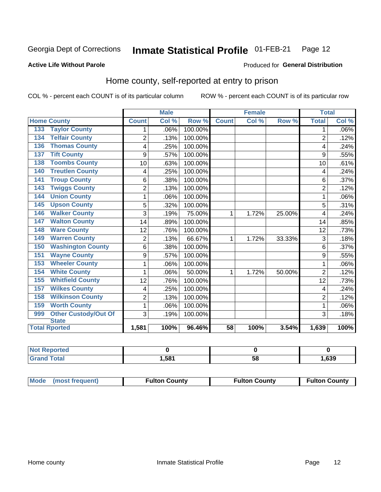#### Inmate Statistical Profile 01-FEB-21 Page 12

### **Active Life Without Parole**

#### Produced for General Distribution

## Home county, self-reported at entry to prison

COL % - percent each COUNT is of its particular column

|                                           |                | <b>Male</b> |         |                 | <b>Female</b> |        | <b>Total</b>   |         |
|-------------------------------------------|----------------|-------------|---------|-----------------|---------------|--------|----------------|---------|
| <b>Home County</b>                        | <b>Count</b>   | Col %       | Row %   | <b>Count</b>    | Col %         | Row %  | <b>Total</b>   | Col %   |
| <b>Taylor County</b><br>133               | 1              | .06%        | 100.00% |                 |               |        | 1              | $.06\%$ |
| <b>Telfair County</b><br>$13\overline{4}$ | $\overline{2}$ | .13%        | 100.00% |                 |               |        | $\overline{2}$ | .12%    |
| <b>Thomas County</b><br>136               | 4              | .25%        | 100.00% |                 |               |        | 4              | .24%    |
| <b>Tift County</b><br>137                 | 9              | .57%        | 100.00% |                 |               |        | 9              | .55%    |
| <b>Toombs County</b><br>138               | 10             | .63%        | 100.00% |                 |               |        | 10             | .61%    |
| <b>Treutlen County</b><br>140             | 4              | .25%        | 100.00% |                 |               |        | 4              | .24%    |
| <b>Troup County</b><br>141                | 6              | .38%        | 100.00% |                 |               |        | 6              | .37%    |
| <b>Twiggs County</b><br>143               | $\overline{2}$ | .13%        | 100.00% |                 |               |        | 2              | .12%    |
| <b>Union County</b><br>144                | 1              | .06%        | 100.00% |                 |               |        |                | $.06\%$ |
| <b>Upson County</b><br>145                | 5              | .32%        | 100.00% |                 |               |        | 5              | .31%    |
| <b>Walker County</b><br>146               | 3              | .19%        | 75.00%  | 1               | 1.72%         | 25.00% | 4              | .24%    |
| <b>Walton County</b><br>147               | 14             | .89%        | 100.00% |                 |               |        | 14             | .85%    |
| <b>Ware County</b><br>148                 | 12             | .76%        | 100.00% |                 |               |        | 12             | .73%    |
| <b>Warren County</b><br>149               | $\overline{2}$ | .13%        | 66.67%  | 1               | 1.72%         | 33.33% | 3              | .18%    |
| <b>Washington County</b><br>150           | 6              | .38%        | 100.00% |                 |               |        | 6              | $.37\%$ |
| <b>Wayne County</b><br>151                | 9              | .57%        | 100.00% |                 |               |        | 9              | .55%    |
| <b>Wheeler County</b><br>153              | 1              | .06%        | 100.00% |                 |               |        | 1              | $.06\%$ |
| <b>White County</b><br>154                | 1              | .06%        | 50.00%  | 1               | 1.72%         | 50.00% | $\overline{2}$ | .12%    |
| <b>Whitfield County</b><br>155            | 12             | .76%        | 100.00% |                 |               |        | 12             | .73%    |
| <b>Wilkes County</b><br>157               | 4              | .25%        | 100.00% |                 |               |        | 4              | .24%    |
| <b>Wilkinson County</b><br>158            | $\overline{2}$ | .13%        | 100.00% |                 |               |        | $\overline{2}$ | .12%    |
| <b>Worth County</b><br>159                | 1              | .06%        | 100.00% |                 |               |        |                | $.06\%$ |
| Other Custody/Out Of<br>999               | 3              | .19%        | 100.00% |                 |               |        | 3              | .18%    |
| <b>State</b>                              |                |             |         |                 |               |        |                |         |
| <b>Total Rported</b>                      | 1,581          | 100%        | 96.46%  | $\overline{58}$ | 100%          | 3.54%  | 1,639          | 100%    |

| <b>Not Reported</b> |      |    |      |
|---------------------|------|----|------|
| `otal               | ,58' | ວດ | ,639 |

| Mode (most frequent) | <b>Fulton County</b> | <b>Fulton County</b> | <b>Fulton County</b> |
|----------------------|----------------------|----------------------|----------------------|
|----------------------|----------------------|----------------------|----------------------|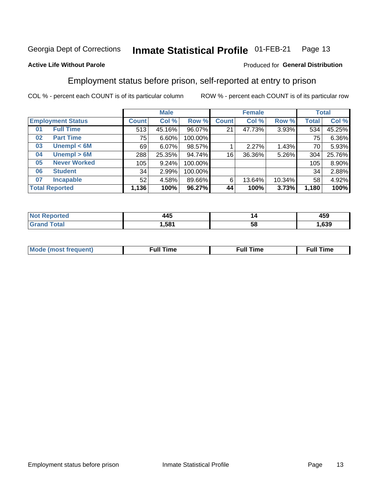#### Inmate Statistical Profile 01-FEB-21 Page 13

### **Active Life Without Parole**

### Produced for General Distribution

## Employment status before prison, self-reported at entry to prison

COL % - percent each COUNT is of its particular column

|                           |              | <b>Male</b> |         |              | <b>Female</b> |        |       | <b>Total</b> |
|---------------------------|--------------|-------------|---------|--------------|---------------|--------|-------|--------------|
| <b>Employment Status</b>  | <b>Count</b> | Col %       | Row %   | <b>Count</b> | Col %         | Row %  | Total | Col %        |
| <b>Full Time</b><br>01    | 513          | 45.16%      | 96.07%  | 21           | 47.73%        | 3.93%  | 534   | 45.25%       |
| <b>Part Time</b><br>02    | 75           | 6.60%       | 100.00% |              |               |        | 75    | 6.36%        |
| Unempl $<$ 6M<br>03       | 69           | 6.07%       | 98.57%  |              | 2.27%         | 1.43%  | 70    | 5.93%        |
| Unempl > 6M<br>04         | 288          | 25.35%      | 94.74%  | 16           | 36.36%        | 5.26%  | 304   | 25.76%       |
| <b>Never Worked</b><br>05 | 105          | 9.24%       | 100.00% |              |               |        | 105   | 8.90%        |
| <b>Student</b><br>06      | 34           | 2.99%       | 100.00% |              |               |        | 34    | 2.88%        |
| <b>Incapable</b><br>07    | 52           | 4.58%       | 89.66%  | 6            | 13.64%        | 10.34% | 58    | 4.92%        |
| <b>Total Reported</b>     | 1,136        | 100%        | 96.27%  | 44           | 100%          | 3.73%  | 1,180 | 100%         |

| .<br>л Л "<br>__ | "  | $\overline{ }$<br>459 |
|------------------|----|-----------------------|
| .581             | ວເ | .639                  |

| Mc | ----<br>me<br>ш | nc<br>. |
|----|-----------------|---------|
|    |                 |         |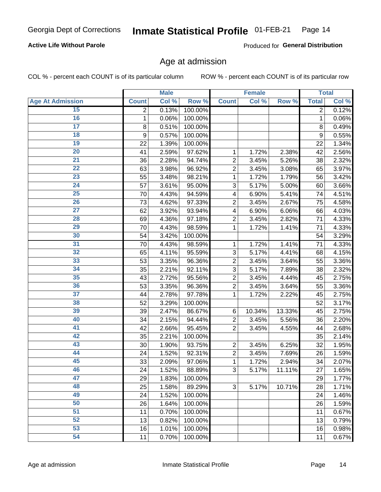### **Active Life Without Parole**

Produced for General Distribution

### Age at admission

COL % - percent each COUNT is of its particular column

|                         |              | <b>Male</b> |         |                | <b>Female</b> |        |              | <b>Total</b> |
|-------------------------|--------------|-------------|---------|----------------|---------------|--------|--------------|--------------|
| <b>Age At Admission</b> | <b>Count</b> | Col %       | Row %   | <b>Count</b>   | Col %         | Row %  | <b>Total</b> | Col %        |
| 15                      | 2            | 0.13%       | 100.00% |                |               |        | 2            | 0.12%        |
| 16                      | 1            | 0.06%       | 100.00% |                |               |        | 1            | 0.06%        |
| $\overline{17}$         | 8            | 0.51%       | 100.00% |                |               |        | 8            | 0.49%        |
| 18                      | 9            | 0.57%       | 100.00% |                |               |        | 9            | 0.55%        |
| 19                      | 22           | 1.39%       | 100.00% |                |               |        | 22           | 1.34%        |
| $\overline{20}$         | 41           | 2.59%       | 97.62%  | 1              | 1.72%         | 2.38%  | 42           | 2.56%        |
| 21                      | 36           | 2.28%       | 94.74%  | $\overline{2}$ | 3.45%         | 5.26%  | 38           | 2.32%        |
| 22                      | 63           | 3.98%       | 96.92%  | $\overline{2}$ | 3.45%         | 3.08%  | 65           | 3.97%        |
| 23                      | 55           | 3.48%       | 98.21%  | 1              | 1.72%         | 1.79%  | 56           | 3.42%        |
| 24                      | 57           | 3.61%       | 95.00%  | 3              | 5.17%         | 5.00%  | 60           | 3.66%        |
| $\overline{25}$         | 70           | 4.43%       | 94.59%  | 4              | 6.90%         | 5.41%  | 74           | 4.51%        |
| 26                      | 73           | 4.62%       | 97.33%  | $\overline{2}$ | 3.45%         | 2.67%  | 75           | 4.58%        |
| $\overline{27}$         | 62           | 3.92%       | 93.94%  | 4              | 6.90%         | 6.06%  | 66           | 4.03%        |
| 28                      | 69           | 4.36%       | 97.18%  | $\overline{2}$ | 3.45%         | 2.82%  | 71           | 4.33%        |
| 29                      | 70           | 4.43%       | 98.59%  | 1              | 1.72%         | 1.41%  | 71           | 4.33%        |
| 30                      | 54           | 3.42%       | 100.00% |                |               |        | 54           | 3.29%        |
| 31                      | 70           | 4.43%       | 98.59%  | 1              | 1.72%         | 1.41%  | 71           | 4.33%        |
| 32                      | 65           | 4.11%       | 95.59%  | 3              | 5.17%         | 4.41%  | 68           | 4.15%        |
| 33                      | 53           | 3.35%       | 96.36%  | $\overline{2}$ | 3.45%         | 3.64%  | 55           | 3.36%        |
| 34                      | 35           | 2.21%       | 92.11%  | 3              | 5.17%         | 7.89%  | 38           | 2.32%        |
| 35                      | 43           | 2.72%       | 95.56%  | $\overline{2}$ | 3.45%         | 4.44%  | 45           | 2.75%        |
| 36                      | 53           | 3.35%       | 96.36%  | $\overline{2}$ | 3.45%         | 3.64%  | 55           | 3.36%        |
| $\overline{37}$         | 44           | 2.78%       | 97.78%  | 1              | 1.72%         | 2.22%  | 45           | 2.75%        |
| 38                      | 52           | 3.29%       | 100.00% |                |               |        | 52           | 3.17%        |
| 39                      | 39           | 2.47%       | 86.67%  | 6              | 10.34%        | 13.33% | 45           | 2.75%        |
| 40                      | 34           | 2.15%       | 94.44%  | $\overline{2}$ | 3.45%         | 5.56%  | 36           | 2.20%        |
| 41                      | 42           | 2.66%       | 95.45%  | $\overline{2}$ | 3.45%         | 4.55%  | 44           | 2.68%        |
| 42                      | 35           | 2.21%       | 100.00% |                |               |        | 35           | 2.14%        |
| 43                      | 30           | 1.90%       | 93.75%  | $\overline{2}$ | 3.45%         | 6.25%  | 32           | 1.95%        |
| 44                      | 24           | 1.52%       | 92.31%  | $\overline{2}$ | 3.45%         | 7.69%  | 26           | 1.59%        |
| 45                      | 33           | 2.09%       | 97.06%  | 1              | 1.72%         | 2.94%  | 34           | 2.07%        |
| 46                      | 24           | 1.52%       | 88.89%  | 3              | 5.17%         | 11.11% | 27           | 1.65%        |
| 47                      | 29           | 1.83%       | 100.00% |                |               |        | 29           | 1.77%        |
| 48                      | 25           | 1.58%       | 89.29%  | 3              | 5.17%         | 10.71% | 28           | 1.71%        |
| 49                      | 24           | 1.52%       | 100.00% |                |               |        | 24           | 1.46%        |
| 50                      | 26           | 1.64%       | 100.00% |                |               |        | 26           | 1.59%        |
| $\overline{51}$         | 11           | 0.70%       | 100.00% |                |               |        | 11           | 0.67%        |
| 52                      | 13           | 0.82%       | 100.00% |                |               |        | 13           | 0.79%        |
| 53                      | 16           | 1.01%       | 100.00% |                |               |        | 16           | 0.98%        |
| 54                      | 11           | 0.70%       | 100.00% |                |               |        | 11           | 0.67%        |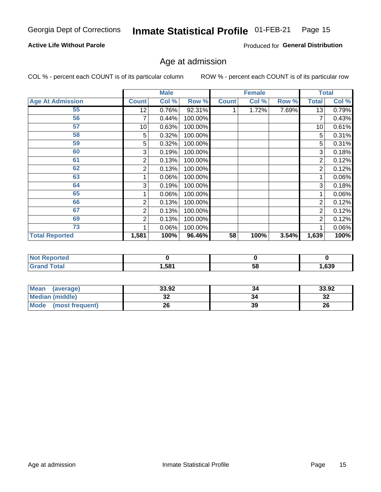### **Active Life Without Parole**

Produced for General Distribution

## Age at admission

COL % - percent each COUNT is of its particular column

|                         |              | <b>Male</b> |         |              | <b>Female</b> |       |                | <b>Total</b> |
|-------------------------|--------------|-------------|---------|--------------|---------------|-------|----------------|--------------|
| <b>Age At Admission</b> | <b>Count</b> | Col %       | Row %   | <b>Count</b> | Col %         | Row % | <b>Total</b>   | Col %        |
| 55                      | 12           | 0.76%       | 92.31%  |              | 1.72%         | 7.69% | 13             | 0.79%        |
| 56                      | 7            | 0.44%       | 100.00% |              |               |       |                | 0.43%        |
| 57                      | 10           | 0.63%       | 100.00% |              |               |       | 10             | 0.61%        |
| 58                      | 5            | 0.32%       | 100.00% |              |               |       | 5              | 0.31%        |
| 59                      | 5            | 0.32%       | 100.00% |              |               |       | 5              | 0.31%        |
| 60                      | 3            | 0.19%       | 100.00% |              |               |       | 3              | 0.18%        |
| 61                      | 2            | 0.13%       | 100.00% |              |               |       | 2              | 0.12%        |
| 62                      | 2            | 0.13%       | 100.00% |              |               |       | 2              | 0.12%        |
| 63                      |              | 0.06%       | 100.00% |              |               |       |                | 0.06%        |
| 64                      | 3            | 0.19%       | 100.00% |              |               |       | 3              | 0.18%        |
| 65                      |              | 0.06%       | 100.00% |              |               |       |                | 0.06%        |
| 66                      | 2            | 0.13%       | 100.00% |              |               |       | 2              | 0.12%        |
| 67                      | 2            | 0.13%       | 100.00% |              |               |       | 2              | 0.12%        |
| 69                      | 2            | 0.13%       | 100.00% |              |               |       | $\overline{2}$ | 0.12%        |
| 73                      |              | 0.06%       | 100.00% |              |               |       |                | 0.06%        |
| <b>Total Reported</b>   | 1,581        | 100%        | 96.46%  | 58           | 100%          | 3.54% | 1,639          | 100%         |

| <b>Not Reported</b> |      |    |      |
|---------------------|------|----|------|
| <b>Total</b>        | ,581 | Эō | ,639 |

| <b>Mean</b><br>(average)       | 33.92 | 34 | 33.92     |
|--------------------------------|-------|----|-----------|
| <b>Median (middle)</b>         | JZ    |    | n g<br>34 |
| <b>Mode</b><br>(most frequent) | 26    | 39 | 26        |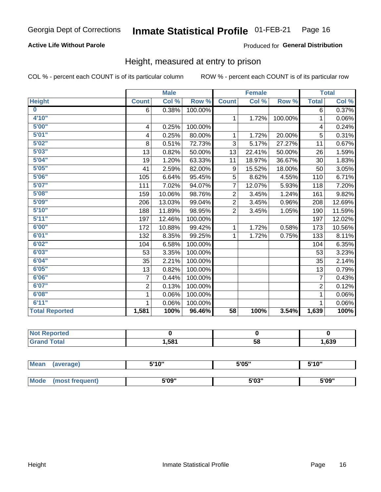### **Active Life Without Parole**

### Produced for General Distribution

### Height, measured at entry to prison

COL % - percent each COUNT is of its particular column

|                       |                         | <b>Male</b> |         |                 | <b>Female</b> |         |                | <b>Total</b> |
|-----------------------|-------------------------|-------------|---------|-----------------|---------------|---------|----------------|--------------|
| <b>Height</b>         | <b>Count</b>            | Col %       | Row %   | <b>Count</b>    | Col %         | Row %   | <b>Total</b>   | Col %        |
| $\bf{0}$              | 6                       | 0.38%       | 100.00% |                 |               |         | 6              | 0.37%        |
| 4'10"                 |                         |             |         | $\mathbf 1$     | 1.72%         | 100.00% | 1              | 0.06%        |
| 5'00''                | $\overline{\mathbf{4}}$ | 0.25%       | 100.00% |                 |               |         | 4              | 0.24%        |
| 5'01"                 | 4                       | 0.25%       | 80.00%  | 1.              | 1.72%         | 20.00%  | 5              | 0.31%        |
| 5'02"                 | 8                       | 0.51%       | 72.73%  | 3               | 5.17%         | 27.27%  | 11             | 0.67%        |
| 5'03''                | 13                      | 0.82%       | 50.00%  | 13              | 22.41%        | 50.00%  | 26             | 1.59%        |
| 5'04"                 | 19                      | 1.20%       | 63.33%  | 11              | 18.97%        | 36.67%  | 30             | 1.83%        |
| 5'05"                 | 41                      | 2.59%       | 82.00%  | 9               | 15.52%        | 18.00%  | 50             | 3.05%        |
| 5'06''                | 105                     | 6.64%       | 95.45%  | 5               | 8.62%         | 4.55%   | 110            | 6.71%        |
| 5'07''                | 111                     | 7.02%       | 94.07%  | $\overline{7}$  | 12.07%        | 5.93%   | 118            | 7.20%        |
| 5'08''                | 159                     | 10.06%      | 98.76%  | $\overline{2}$  | 3.45%         | 1.24%   | 161            | 9.82%        |
| 5'09''                | 206                     | 13.03%      | 99.04%  | $\overline{2}$  | 3.45%         | 0.96%   | 208            | 12.69%       |
| 5'10''                | 188                     | 11.89%      | 98.95%  | $\overline{2}$  | 3.45%         | 1.05%   | 190            | 11.59%       |
| 5'11''                | 197                     | 12.46%      | 100.00% |                 |               |         | 197            | 12.02%       |
| 6'00''                | 172                     | 10.88%      | 99.42%  | $\mathbf{1}$    | 1.72%         | 0.58%   | 173            | 10.56%       |
| 6'01''                | 132                     | 8.35%       | 99.25%  | 1.              | 1.72%         | 0.75%   | 133            | 8.11%        |
| 6'02"                 | 104                     | 6.58%       | 100.00% |                 |               |         | 104            | 6.35%        |
| 6'03''                | 53                      | 3.35%       | 100.00% |                 |               |         | 53             | 3.23%        |
| 6'04"                 | 35                      | 2.21%       | 100.00% |                 |               |         | 35             | 2.14%        |
| 6'05"                 | 13                      | 0.82%       | 100.00% |                 |               |         | 13             | 0.79%        |
| 6'06''                | 7                       | 0.44%       | 100.00% |                 |               |         | $\overline{7}$ | 0.43%        |
| 6'07''                | $\overline{2}$          | 0.13%       | 100.00% |                 |               |         | $\overline{2}$ | 0.12%        |
| 6'08''                | 1                       | 0.06%       | 100.00% |                 |               |         | 1              | 0.06%        |
| 6'11''                |                         | 0.06%       | 100.00% |                 |               |         |                | 0.06%        |
| <b>Total Reported</b> | 1,581                   | 100%        | 96.46%  | $\overline{58}$ | 100%          | 3.54%   | 1,639          | 100%         |

| <b>NOT</b><br>rtea<br>менон |      |    |      |
|-----------------------------|------|----|------|
| $\sim$ 10                   | .581 | 58 | ,639 |

| <b>Mean</b> | (average)      | 5'10" | 5'05"           | 5'10"<br>ັ |  |
|-------------|----------------|-------|-----------------|------------|--|
|             |                |       |                 |            |  |
| <b>Mode</b> | iost frequent) | 5'09" | EINS !!<br>ა სა | 5'09"      |  |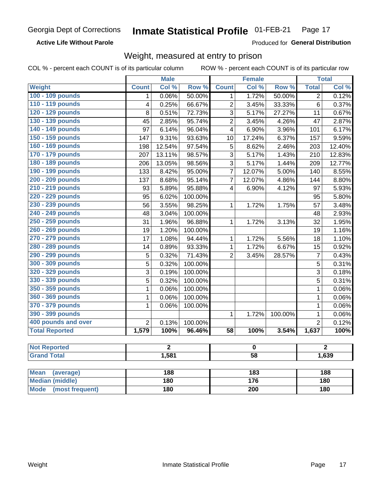**Active Life Without Parole** 

Produced for General Distribution

## Weight, measured at entry to prison

COL % - percent each COUNT is of its particular column

|                                |                          | <b>Male</b>    |         |                         | <b>Female</b>    |         |                | <b>Total</b>       |  |
|--------------------------------|--------------------------|----------------|---------|-------------------------|------------------|---------|----------------|--------------------|--|
| <b>Weight</b>                  | <b>Count</b>             | Col %          | Row %   | <b>Count</b>            | Col %            | Row %   | <b>Total</b>   | Col %              |  |
| 100 - 109 pounds               | $\mathbf 1$              | 0.06%          | 50.00%  | 1                       | 1.72%            | 50.00%  | $\overline{2}$ | 0.12%              |  |
| 110 - 119 pounds               | $\overline{4}$           | 0.25%          | 66.67%  | $\overline{2}$          | 3.45%            | 33.33%  | $\overline{6}$ | 0.37%              |  |
| 120 - 129 pounds               | $\overline{8}$           | 0.51%          | 72.73%  | 3                       | 5.17%            | 27.27%  | 11             | 0.67%              |  |
| 130 - 139 pounds               | 45                       | 2.85%          | 95.74%  | $\overline{2}$          | 3.45%            | 4.26%   | 47             | 2.87%              |  |
| 140 - 149 pounds               | $\overline{97}$          | 6.14%          | 96.04%  | $\overline{\mathbf{4}}$ | 6.90%            | 3.96%   | 101            | 6.17%              |  |
| 150 - 159 pounds               | 147                      | 9.31%          | 93.63%  | 10                      | 17.24%           | 6.37%   | 157            | 9.59%              |  |
| 160 - 169 pounds               | 198                      | 12.54%         | 97.54%  | $\overline{5}$          | 8.62%            | 2.46%   | 203            | 12.40%             |  |
| 170 - 179 pounds               | 207                      | 13.11%         | 98.57%  | 3                       | 5.17%            | 1.43%   | 210            | 12.83%             |  |
| 180 - 189 pounds               | 206                      | 13.05%         | 98.56%  | 3                       | 5.17%            | 1.44%   | 209            | 12.77%             |  |
| 190 - 199 pounds               | 133                      | 8.42%          | 95.00%  | $\overline{7}$          | 12.07%           | 5.00%   | 140            | 8.55%              |  |
| 200 - 209 pounds               | 137                      | 8.68%          | 95.14%  | $\overline{7}$          | 12.07%           | 4.86%   | 144            | 8.80%              |  |
| 210 - 219 pounds               | 93                       | 5.89%          | 95.88%  | $\overline{4}$          | 6.90%            | 4.12%   | 97             | 5.93%              |  |
| 220 - 229 pounds               | 95                       | 6.02%          | 100.00% |                         |                  |         | 95             | 5.80%              |  |
| 230 - 239 pounds               | $\overline{56}$          | 3.55%          | 98.25%  | 1                       | 1.72%            | 1.75%   | 57             | 3.48%              |  |
| 240 - 249 pounds               | 48                       | 3.04%          | 100.00% |                         |                  |         | 48             | 2.93%              |  |
| 250 - 259 pounds               | 31                       | 1.96%          | 96.88%  | $\mathbf{1}$            | 1.72%            | 3.13%   | 32             | 1.95%              |  |
| 260 - 269 pounds               | 19                       | 1.20%          | 100.00% |                         |                  |         | 19             | 1.16%              |  |
| 270 - 279 pounds               | 17                       | 1.08%          | 94.44%  | 1                       | 1.72%            | 5.56%   | 18             | 1.10%              |  |
| 280 - 289 pounds               | 14                       | 0.89%          | 93.33%  | $\mathbf{1}$            | 1.72%            | 6.67%   | 15             | 0.92%              |  |
| 290 - 299 pounds               | 5                        | 0.32%          | 71.43%  | $\overline{2}$          | 3.45%            | 28.57%  | $\overline{7}$ | 0.43%              |  |
| 300 - 309 pounds               | 5                        | 0.32%          | 100.00% |                         |                  |         | 5              | 0.31%              |  |
| 320 - 329 pounds               | 3                        | 0.19%          | 100.00% |                         |                  |         | 3              | 0.18%              |  |
| 330 - 339 pounds               | 5                        | 0.32%          | 100.00% |                         |                  |         | 5              | 0.31%              |  |
| 350 - 359 pounds               | 1                        | 0.06%          | 100.00% |                         |                  |         | $\mathbf{1}$   | 0.06%              |  |
| 360 - 369 pounds               | 1                        | 0.06%          | 100.00% |                         |                  |         | $\mathbf{1}$   | 0.06%              |  |
| 370 - 379 pounds               | 1                        | 0.06%          | 100.00% |                         |                  |         | $\mathbf 1$    | 0.06%              |  |
| 390 - 399 pounds               |                          |                |         | 1                       | 1.72%            | 100.00% | $\mathbf{1}$   | 0.06%              |  |
| 400 pounds and over            | $\overline{2}$           | 0.13%          | 100.00% |                         |                  |         | $\overline{2}$ | 0.12%              |  |
| <b>Total Reported</b>          | 1,579                    | 100%           | 96.46%  | $\overline{58}$         | 100%             | 3.54%   | 1,637          | $\overline{100\%}$ |  |
| <b>Not Reported</b>            |                          | $\overline{2}$ |         |                         | $\pmb{0}$        |         |                | $\overline{2}$     |  |
| <b>Grand Total</b>             | 1,581<br>$\overline{58}$ |                |         |                         | 1,639            |         |                |                    |  |
|                                |                          |                |         |                         |                  |         |                |                    |  |
| <b>Mean</b><br>(average)       |                          | 188            |         |                         | $\overline{183}$ |         |                | 188                |  |
| <b>Median (middle)</b>         |                          | 180            |         |                         | $\overline{176}$ |         |                | 180                |  |
| <b>Mode</b><br>(most frequent) |                          | 180            |         | 200                     |                  |         | 180            |                    |  |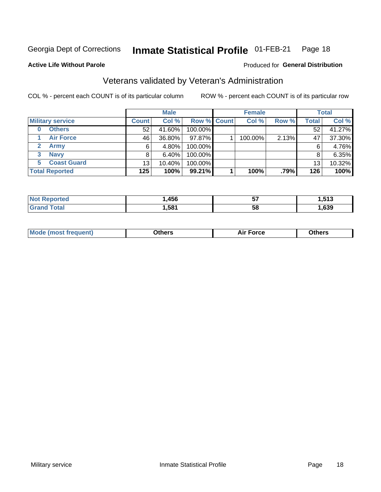#### Inmate Statistical Profile 01-FEB-21 Page 18

Produced for General Distribution

### **Active Life Without Parole**

## Veterans validated by Veteran's Administration

COL % - percent each COUNT is of its particular column

|                           |              | <b>Male</b> |                    | <b>Female</b> |       |              | <b>Total</b> |
|---------------------------|--------------|-------------|--------------------|---------------|-------|--------------|--------------|
| <b>Military service</b>   | <b>Count</b> | Col %       | <b>Row % Count</b> | Col %         | Row % | <b>Total</b> | Col %        |
| <b>Others</b><br>$\bf{0}$ | 52           | 41.60%      | 100.00%            |               |       | 52           | 41.27%       |
| <b>Air Force</b>          | 46           | 36.80%      | 97.87%             | 100.00%       | 2.13% | 47           | 37.30%       |
| Army                      | 6            | 4.80%       | 100.00%            |               |       | 6            | 4.76%        |
| <b>Navy</b><br>3          |              | $6.40\%$    | 100.00%            |               |       | 8            | 6.35%        |
| <b>Coast Guard</b><br>5.  | 13           | 10.40%      | 100.00%            |               |       | 13           | 10.32%       |
| <b>Total Reported</b>     | 125          | 100%        | 99.21%             | 100%          | .79%  | 126          | 100%         |

| тес          | .456 | --<br>IJ | E49            |
|--------------|------|----------|----------------|
| <b>Total</b> | .581 | 5٤       | $\sim$<br>,639 |

|--|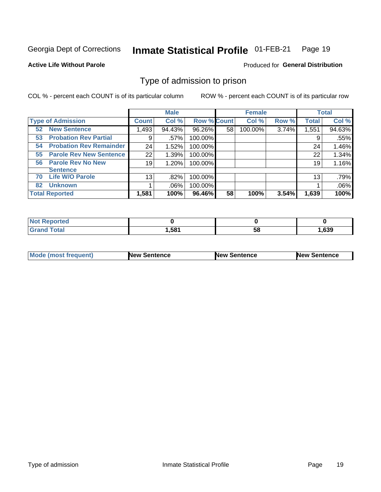#### Inmate Statistical Profile 01-FEB-21 Page 19

**Active Life Without Parole** 

Produced for General Distribution

## Type of admission to prison

COL % - percent each COUNT is of its particular column

|                                      |                 | <b>Male</b> |                    |    | <b>Female</b> |       |              | <b>Total</b> |
|--------------------------------------|-----------------|-------------|--------------------|----|---------------|-------|--------------|--------------|
| <b>Type of Admission</b>             | <b>Count</b>    | Col %       | <b>Row % Count</b> |    | Col %         | Row % | <b>Total</b> | Col %        |
| <b>New Sentence</b><br>52            | 1,493           | 94.43%      | 96.26%             | 58 | 100.00%       | 3.74% | 1,551        | 94.63%       |
| <b>Probation Rev Partial</b><br>53   | 9               | .57%        | 100.00%            |    |               |       | 9            | .55%         |
| <b>Probation Rev Remainder</b><br>54 | 24              | 1.52%       | 100.00%            |    |               |       | 24           | 1.46%        |
| <b>Parole Rev New Sentence</b><br>55 | 22              | 1.39%       | 100.00%            |    |               |       | 22           | 1.34%        |
| <b>Parole Rev No New</b><br>56       | 19              | 1.20%       | 100.00%            |    |               |       | 19           | 1.16%        |
| <b>Sentence</b>                      |                 |             |                    |    |               |       |              |              |
| <b>Life W/O Parole</b><br>70         | 13 <sub>1</sub> | .82%        | 100.00%            |    |               |       | 13           | .79%         |
| <b>Unknown</b><br>82                 |                 | $.06\%$     | 100.00%            |    |               |       |              | .06%         |
| <b>Total Reported</b>                | 1,581           | 100%        | 96.46%             | 58 | 100%          | 3.54% | 1,639        | 100%         |

| Reported<br><b>NOT</b> |       |    |      |
|------------------------|-------|----|------|
| <b>Total</b><br>"Gran. | 1,581 | วง | .639 |

| <b>Mode (most frequent)</b> | <b>New Sentence</b> | <b>New Sentence</b> | <b>New Sentence</b> |
|-----------------------------|---------------------|---------------------|---------------------|
|                             |                     |                     |                     |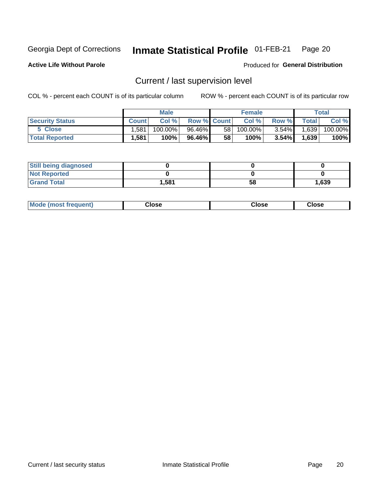#### Inmate Statistical Profile 01-FEB-21 Page 20

**Active Life Without Parole** 

Produced for General Distribution

## Current / last supervision level

COL % - percent each COUNT is of its particular column

|                        |         | <b>Male</b> |                    |    | <b>Female</b> |          |       | Total   |
|------------------------|---------|-------------|--------------------|----|---------------|----------|-------|---------|
| <b>Security Status</b> | Count l | Col%        | <b>Row % Count</b> |    | Col %         | Row %    | Total | Col %   |
| 5 Close                | .581    | 100.00%     | 96.46%             | 58 | $100.00\%$    | $3.54\%$ | 1,639 | 100.00% |
| <b>Total Reported</b>  | .581    | 100%        | 96.46%             | 58 | $100\%$ .     | $3.54\%$ | 1,639 | 100%    |

| <b>Still being diagnosed</b> |       |    |       |
|------------------------------|-------|----|-------|
| <b>Not Reported</b>          |       |    |       |
| <b>Grand Total</b>           | 1,581 | 58 | 1,639 |

| <b>Mode (most frequent)</b> | Close | Close | Close |
|-----------------------------|-------|-------|-------|
|                             |       |       |       |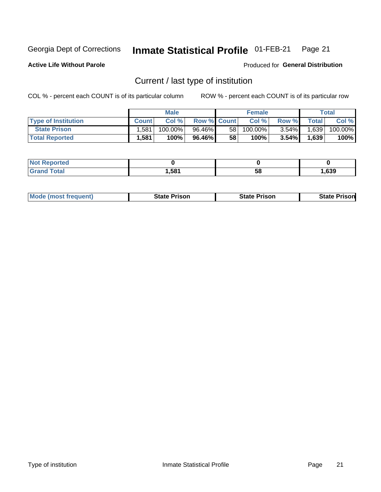#### Inmate Statistical Profile 01-FEB-21 Page 21

**Active Life Without Parole** 

Produced for General Distribution

## Current / last type of institution

COL % - percent each COUNT is of its particular column

|                            |              | <b>Male</b> |                    |    | <b>Female</b> |          |              | Total   |
|----------------------------|--------------|-------------|--------------------|----|---------------|----------|--------------|---------|
| <b>Type of Institution</b> | <b>Count</b> | Col %       | <b>Row % Count</b> |    | Col %         | Row %    | <b>Total</b> | Col %   |
| <b>State Prison</b>        | .581         | $100.00\%$  | 96.46%             | 58 | $100.00\%$    | $3.54\%$ | 1,639        | 100.00% |
| <b>Total Reported</b>      | 1,581        | 100%        | 96.46% I           | 58 | 100%          | $3.54\%$ | 1,639        | 100%    |

| <b>eported</b> |      |    |      |
|----------------|------|----|------|
|                | ,581 | ວເ | .639 |

|  | <b>Mode (most frequent)</b> | State Prison | <b>State Prison</b> | <b>State Prison</b> |
|--|-----------------------------|--------------|---------------------|---------------------|
|--|-----------------------------|--------------|---------------------|---------------------|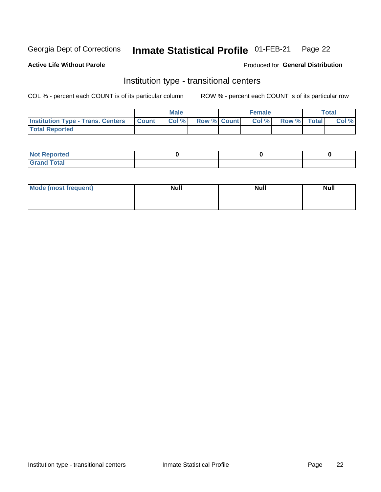#### Inmate Statistical Profile 01-FEB-21 Page 22

**Active Life Without Parole** 

#### Produced for General Distribution

## Institution type - transitional centers

COL % - percent each COUNT is of its particular column

|                                          |              | <b>Male</b> |             | <b>Female</b> |             | <b>Total</b> |
|------------------------------------------|--------------|-------------|-------------|---------------|-------------|--------------|
| <b>Institution Type - Trans. Centers</b> | <b>Count</b> | Col %       | Row % Count | Col %         | Row % Total | Col %        |
| <b>Total Reported</b>                    |              |             |             |               |             |              |

| <b>Reported</b><br><b>NOT</b><br>$\sim$            |  |  |
|----------------------------------------------------|--|--|
| $f$ $f \circ f \circ f$<br>$C = 1$<br><b>TULAI</b> |  |  |

| Mode (most frequent) | <b>Null</b> | <b>Null</b> | <b>Null</b> |
|----------------------|-------------|-------------|-------------|
|                      |             |             |             |
|                      |             |             |             |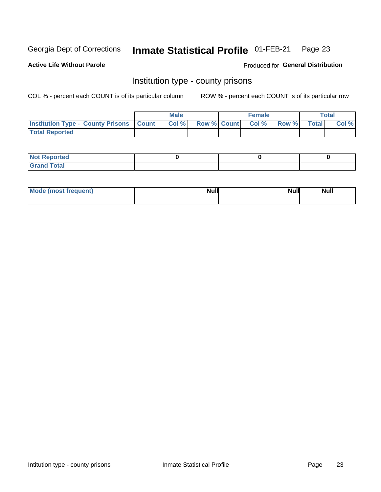#### Inmate Statistical Profile 01-FEB-21 Page 23

**Active Life Without Parole** 

**Produced for General Distribution** 

### Institution type - county prisons

COL % - percent each COUNT is of its particular column

|                                                    | <b>Male</b> |       |  | <b>Female</b> |                          |             | <b>Total</b> |       |  |
|----------------------------------------------------|-------------|-------|--|---------------|--------------------------|-------------|--------------|-------|--|
| <b>Institution Type - County Prisons   Count  </b> |             | Col % |  |               | <b>Row % Count Col %</b> | Row % Total |              | Col % |  |
| <b>Total Reported</b>                              |             |       |  |               |                          |             |              |       |  |

| <b>Not Reported</b>   |  |  |
|-----------------------|--|--|
| <b>Total</b><br>Granc |  |  |

| Mode (most frequent) | <b>Null</b> | <b>Null</b><br><b>Null</b> |
|----------------------|-------------|----------------------------|
|                      |             |                            |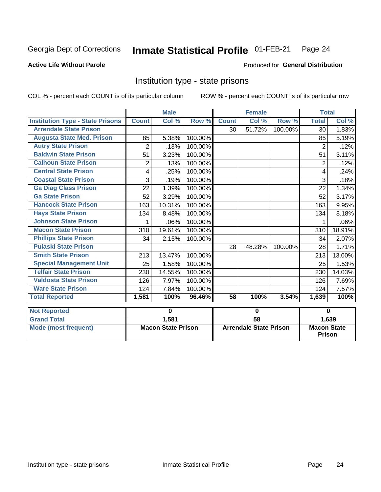#### Inmate Statistical Profile 01-FEB-21 Page 24

#### **Active Life Without Parole**

#### Produced for General Distribution

### Institution type - state prisons

|                                         | <b>Male</b>               |        |         | <b>Female</b>                 |                            |         | <b>Total</b>                        |        |
|-----------------------------------------|---------------------------|--------|---------|-------------------------------|----------------------------|---------|-------------------------------------|--------|
| <b>Institution Type - State Prisons</b> | <b>Count</b>              | Col %  | Row %   | <b>Count</b>                  | $\overline{\text{Col }^9}$ | Row %   | <b>Total</b>                        | Col %  |
| <b>Arrendale State Prison</b>           |                           |        |         | 30                            | 51.72%                     | 100.00% | 30                                  | 1.83%  |
| <b>Augusta State Med. Prison</b>        | 85                        | 5.38%  | 100.00% |                               |                            |         | 85                                  | 5.19%  |
| <b>Autry State Prison</b>               | $\overline{2}$            | .13%   | 100.00% |                               |                            |         | 2                                   | .12%   |
| <b>Baldwin State Prison</b>             | 51                        | 3.23%  | 100.00% |                               |                            |         | 51                                  | 3.11%  |
| <b>Calhoun State Prison</b>             | $\overline{2}$            | .13%   | 100.00% |                               |                            |         | $\overline{2}$                      | .12%   |
| <b>Central State Prison</b>             | 4                         | .25%   | 100.00% |                               |                            |         | 4                                   | .24%   |
| <b>Coastal State Prison</b>             | 3                         | .19%   | 100.00% |                               |                            |         | 3                                   | .18%   |
| <b>Ga Diag Class Prison</b>             | 22                        | 1.39%  | 100.00% |                               |                            |         | 22                                  | 1.34%  |
| <b>Ga State Prison</b>                  | 52                        | 3.29%  | 100.00% |                               |                            |         | 52                                  | 3.17%  |
| <b>Hancock State Prison</b>             | 163                       | 10.31% | 100.00% |                               |                            |         | 163                                 | 9.95%  |
| <b>Hays State Prison</b>                | 134                       | 8.48%  | 100.00% |                               |                            |         | 134                                 | 8.18%  |
| <b>Johnson State Prison</b>             | 1                         | .06%   | 100.00% |                               |                            |         | 1                                   | .06%   |
| <b>Macon State Prison</b>               | 310                       | 19.61% | 100.00% |                               |                            |         | 310                                 | 18.91% |
| <b>Phillips State Prison</b>            | 34                        | 2.15%  | 100.00% |                               |                            |         | 34                                  | 2.07%  |
| <b>Pulaski State Prison</b>             |                           |        |         | 28                            | 48.28%                     | 100.00% | 28                                  | 1.71%  |
| <b>Smith State Prison</b>               | 213                       | 13.47% | 100.00% |                               |                            |         | 213                                 | 13.00% |
| <b>Special Management Unit</b>          | 25                        | 1.58%  | 100.00% |                               |                            |         | 25                                  | 1.53%  |
| <b>Telfair State Prison</b>             | 230                       | 14.55% | 100.00% |                               |                            |         | 230                                 | 14.03% |
| <b>Valdosta State Prison</b>            | 126                       | 7.97%  | 100.00% |                               |                            |         | 126                                 | 7.69%  |
| <b>Ware State Prison</b>                | 124                       | 7.84%  | 100.00% |                               |                            |         | 124                                 | 7.57%  |
| <b>Total Reported</b>                   | 1,581                     | 100%   | 96.46%  | 58                            | 100%                       | 3.54%   | 1,639                               | 100%   |
| <b>Not Reported</b>                     |                           | 0      |         | 0                             |                            |         | 0                                   |        |
| <b>Grand Total</b>                      |                           | 1,581  |         | $\overline{58}$               |                            |         |                                     | 1,639  |
| <b>Mode (most frequent)</b>             | <b>Macon State Prison</b> |        |         | <b>Arrendale State Prison</b> |                            |         | <b>Macon State</b><br><b>Prison</b> |        |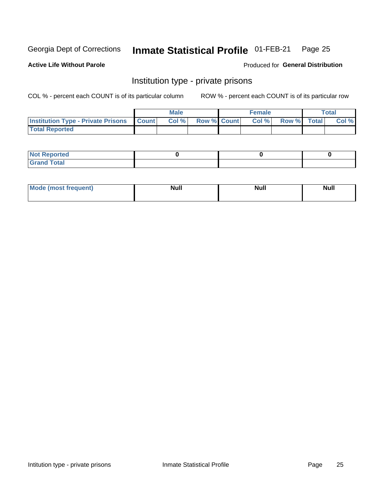#### **Inmate Statistical Profile 01-FEB-21** Page 25

### **Active Life Without Parole**

#### Produced for General Distribution

## Institution type - private prisons

COL % - percent each COUNT is of its particular column

|                                                 | <b>Male</b> |       |                    | <b>Female</b> |       |             | Total |       |
|-------------------------------------------------|-------------|-------|--------------------|---------------|-------|-------------|-------|-------|
| <b>Institution Type - Private Prisons Count</b> |             | Col % | <b>Row % Count</b> |               | Col % | Row % Total |       | Col % |
| <b>Total Reported</b>                           |             |       |                    |               |       |             |       |       |

| Reported<br>I NOT<br>$\sim$ |  |  |
|-----------------------------|--|--|
| <b>c</b> otal<br>.          |  |  |

| <b>Mo</b><br>frequent) | <b>Null</b> | <b>Null</b> | . . I *<br><b>IVUII</b> |
|------------------------|-------------|-------------|-------------------------|
|                        |             |             |                         |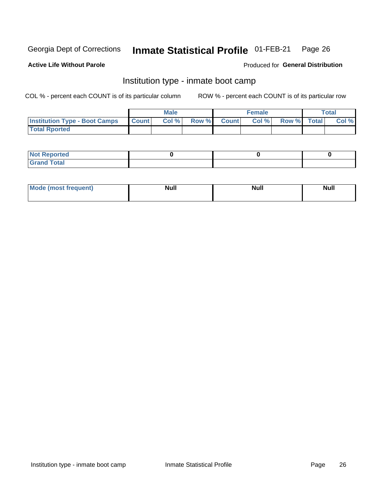#### Inmate Statistical Profile 01-FEB-21 Page 26

#### **Active Life Without Parole**

#### Produced for General Distribution

## Institution type - inmate boot camp

COL % - percent each COUNT is of its particular column

|                                      | <b>Male</b>  |       |               |              | <b>Female</b> | <b>Total</b> |  |       |
|--------------------------------------|--------------|-------|---------------|--------------|---------------|--------------|--|-------|
| <b>Institution Type - Boot Camps</b> | <b>Count</b> | Col % | <b>Row %I</b> | <b>Count</b> | Col %         | Row % Total  |  | Col % |
| <b>Total Rported</b>                 |              |       |               |              |               |              |  |       |

| <b>Not Reported</b>            |  |  |
|--------------------------------|--|--|
| <b>Total</b><br>C <sub>r</sub> |  |  |

| Mod<br>uamo | Nul.<br>$- - - - - -$ | <b>Null</b> | . .<br>uu.<br>------ |
|-------------|-----------------------|-------------|----------------------|
|             |                       |             |                      |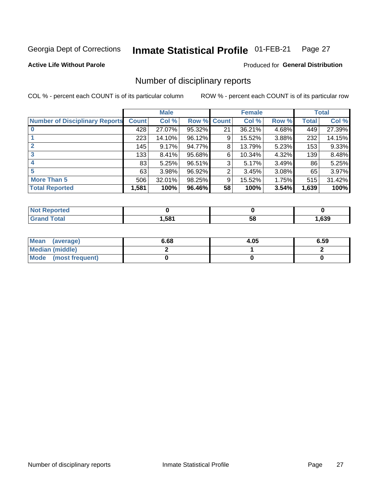#### Inmate Statistical Profile 01-FEB-21 Page 27

**Active Life Without Parole** 

Produced for General Distribution

## Number of disciplinary reports

COL % - percent each COUNT is of its particular column

|                                       | <b>Male</b>  |        |             | <b>Female</b> |        |       | <b>Total</b> |        |
|---------------------------------------|--------------|--------|-------------|---------------|--------|-------|--------------|--------|
| <b>Number of Disciplinary Reports</b> | <b>Count</b> | Col %  | Row % Count |               | Col %  | Row % | Total        | Col %  |
|                                       | 428          | 27.07% | 95.32%      | 21            | 36.21% | 4.68% | 449          | 27.39% |
|                                       | 223          | 14.10% | 96.12%      | 9             | 15.52% | 3.88% | 232          | 14.15% |
|                                       | 145          | 9.17%  | 94.77%      | 8             | 13.79% | 5.23% | 153          | 9.33%  |
| 3                                     | 133          | 8.41%  | 95.68%      | 6             | 10.34% | 4.32% | 139          | 8.48%  |
|                                       | 83           | 5.25%  | 96.51%      | 3             | 5.17%  | 3.49% | 86           | 5.25%  |
| 5                                     | 63           | 3.98%  | 96.92%      | 2             | 3.45%  | 3.08% | 65           | 3.97%  |
| <b>More Than 5</b>                    | 506          | 32.01% | 98.25%      | 9             | 15.52% | 1.75% | 515          | 31.42% |
| <b>Total Reported</b>                 | 1,581        | 100%   | 96.46%      | 58            | 100%   | 3.54% | 1,639        | 100%   |

| NO<br>τеο |      |    |      |
|-----------|------|----|------|
| Гоtal     | ,581 | Ⴢჾ | ,639 |

| Mean (average)       | 6.68 | 4.05 | 6.59 |
|----------------------|------|------|------|
| Median (middle)      |      |      |      |
| Mode (most frequent) |      |      |      |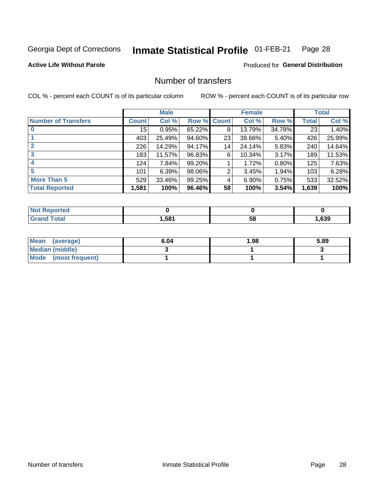#### Inmate Statistical Profile 01-FEB-21 Page 28

### **Active Life Without Parole**

### **Produced for General Distribution**

## Number of transfers

COL % - percent each COUNT is of its particular column

|                            |              | <b>Male</b> |             |    | <b>Female</b> |        |       | <b>Total</b> |
|----------------------------|--------------|-------------|-------------|----|---------------|--------|-------|--------------|
| <b>Number of Transfers</b> | <b>Count</b> | Col %       | Row % Count |    | Col %         | Row %  | Total | Col %        |
|                            | 15           | 0.95%       | 65.22%      | 8  | 13.79%        | 34.78% | 23    | 1.40%        |
|                            | 403          | 25.49%      | 94.60%      | 23 | 39.66%        | 5.40%  | 426   | 25.99%       |
| 2                          | 226          | 14.29%      | 94.17%      | 14 | 24.14%        | 5.83%  | 240   | 14.64%       |
| 3                          | 183          | 11.57%      | 96.83%      | 6  | 10.34%        | 3.17%  | 189   | 11.53%       |
|                            | 124          | 7.84%       | 99.20%      |    | 1.72%         | 0.80%  | 125   | 7.63%        |
| 5                          | 101          | 6.39%       | 98.06%      | 2  | 3.45%         | 1.94%  | 103   | 6.28%        |
| <b>More Than 5</b>         | 529          | 33.46%      | 99.25%      | 4  | 6.90%         | 0.75%  | 533   | 32.52%       |
| <b>Total Reported</b>      | 1,581        | 100%        | 96.46%      | 58 | 100%          | 3.54%  | 1,639 | 100%         |

| NO<br>τеο |      |    |      |
|-----------|------|----|------|
| Гоtal     | ,581 | Ⴢჾ | ,639 |

| Mean (average)       | 6.04 | 1.98 | 5.89 |
|----------------------|------|------|------|
| Median (middle)      |      |      |      |
| Mode (most frequent) |      |      |      |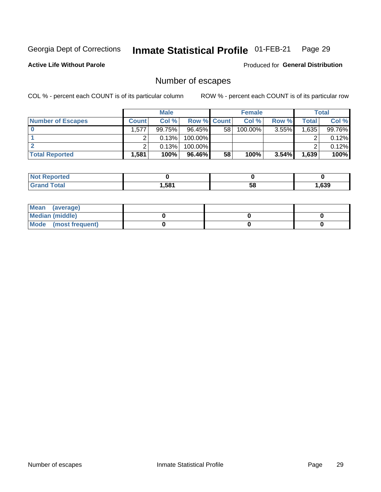#### Inmate Statistical Profile 01-FEB-21 Page 29

**Active Life Without Parole** 

Produced for General Distribution

## Number of escapes

COL % - percent each COUNT is of its particular column

|                          | <b>Male</b>  |        |                    | <b>Female</b> |         |       | Total |        |
|--------------------------|--------------|--------|--------------------|---------------|---------|-------|-------|--------|
| <b>Number of Escapes</b> | <b>Count</b> | Col %  | <b>Row % Count</b> |               | Col %   | Row % | Total | Col %  |
|                          | 1,577        | 99.75% | $96.45\%$          | 58            | 100.00% | 3.55% | 1,635 | 99.76% |
|                          |              | 0.13%  | $100.00\%$         |               |         |       |       | 0.12%  |
|                          |              | 0.13%  | $100.00\%$         |               |         |       |       | 0.12%  |
| <b>Total Reported</b>    | .,581        | 100%   | 96.46%             | 58            | 100%    | 3.54% | 1,639 | 100%   |

| <b>Reported</b><br><b>NOT</b> |       |    |      |
|-------------------------------|-------|----|------|
| <b>Total</b>                  | 581.ا | 58 | ,639 |

| Mean (average)       |  |  |
|----------------------|--|--|
| Median (middle)      |  |  |
| Mode (most frequent) |  |  |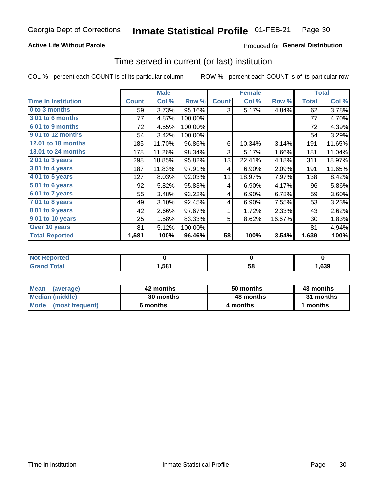### **Active Life Without Parole**

### **Produced for General Distribution**

### Time served in current (or last) institution

COL % - percent each COUNT is of its particular column

|                            |              | <b>Male</b> |         |              | <b>Female</b> |        |              | <b>Total</b> |
|----------------------------|--------------|-------------|---------|--------------|---------------|--------|--------------|--------------|
| <b>Time In Institution</b> | <b>Count</b> | Col %       | Row %   | <b>Count</b> | Col %         | Row %  | <b>Total</b> | Col %        |
| 0 to 3 months              | 59           | 3.73%       | 95.16%  | 3            | 5.17%         | 4.84%  | 62           | 3.78%        |
| 3.01 to 6 months           | 77           | 4.87%       | 100.00% |              |               |        | 77           | 4.70%        |
| 6.01 to 9 months           | 72           | 4.55%       | 100.00% |              |               |        | 72           | 4.39%        |
| 9.01 to 12 months          | 54           | 3.42%       | 100.00% |              |               |        | 54           | 3.29%        |
| 12.01 to 18 months         | 185          | 11.70%      | 96.86%  | 6            | 10.34%        | 3.14%  | 191          | 11.65%       |
| 18.01 to 24 months         | 178          | 11.26%      | 98.34%  | 3            | 5.17%         | 1.66%  | 181          | 11.04%       |
| $2.01$ to 3 years          | 298          | 18.85%      | 95.82%  | 13           | 22.41%        | 4.18%  | 311          | 18.97%       |
| 3.01 to 4 years            | 187          | 11.83%      | 97.91%  | 4            | 6.90%         | 2.09%  | 191          | 11.65%       |
| 4.01 to 5 years            | 127          | 8.03%       | 92.03%  | 11           | 18.97%        | 7.97%  | 138          | 8.42%        |
| 5.01 to 6 years            | 92           | 5.82%       | 95.83%  | 4            | 6.90%         | 4.17%  | 96           | 5.86%        |
| 6.01 to 7 years            | 55           | 3.48%       | 93.22%  | 4            | 6.90%         | 6.78%  | 59           | 3.60%        |
| 7.01 to 8 years            | 49           | 3.10%       | 92.45%  | 4            | 6.90%         | 7.55%  | 53           | 3.23%        |
| 8.01 to 9 years            | 42           | 2.66%       | 97.67%  | 1            | 1.72%         | 2.33%  | 43           | 2.62%        |
| 9.01 to 10 years           | 25           | 1.58%       | 83.33%  | 5            | 8.62%         | 16.67% | 30           | 1.83%        |
| Over 10 years              | 81           | 5.12%       | 100.00% |              |               |        | 81           | 4.94%        |
| <b>Total Reported</b>      | 1,581        | 100%        | 96.46%  | 58           | 100%          | 3.54%  | 1,639        | 100%         |

| <b>Not Reported</b> |      |    |      |
|---------------------|------|----|------|
| $f \circ f \circ f$ | ,581 | vu | ,639 |

| <b>Mean</b><br>(average) | 42 months | 50 months | 43 months |
|--------------------------|-----------|-----------|-----------|
| Median (middle)          | 30 months | 48 months | 31 months |
| Mode (most frequent)     | 6 months  | 4 months  | 1 months  |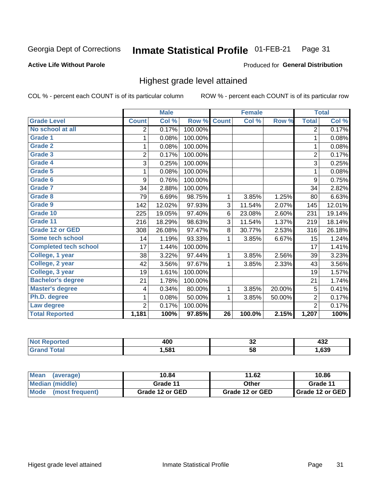#### Inmate Statistical Profile 01-FEB-21 Page 31

#### **Active Life Without Parole**

#### Produced for General Distribution

## Highest grade level attained

COL % - percent each COUNT is of its particular column

|                              |                | <b>Male</b> |         |                 | <b>Female</b> |        |                | <b>Total</b> |
|------------------------------|----------------|-------------|---------|-----------------|---------------|--------|----------------|--------------|
| <b>Grade Level</b>           | <b>Count</b>   | Col %       | Row %   | <b>Count</b>    | Col %         | Row %  | <b>Total</b>   | Col %        |
| No school at all             | 2              | 0.17%       | 100.00% |                 |               |        | $\overline{2}$ | 0.17%        |
| <b>Grade 1</b>               | 1              | 0.08%       | 100.00% |                 |               |        | 1              | 0.08%        |
| <b>Grade 2</b>               | 1              | 0.08%       | 100.00% |                 |               |        | 1              | 0.08%        |
| <b>Grade 3</b>               | $\overline{2}$ | 0.17%       | 100.00% |                 |               |        | $\overline{2}$ | 0.17%        |
| <b>Grade 4</b>               | 3              | 0.25%       | 100.00% |                 |               |        | 3              | 0.25%        |
| Grade 5                      | 1              | 0.08%       | 100.00% |                 |               |        | 1              | 0.08%        |
| Grade 6                      | 9              | 0.76%       | 100.00% |                 |               |        | 9              | 0.75%        |
| Grade 7                      | 34             | 2.88%       | 100.00% |                 |               |        | 34             | 2.82%        |
| <b>Grade 8</b>               | 79             | 6.69%       | 98.75%  | 1               | 3.85%         | 1.25%  | 80             | 6.63%        |
| Grade 9                      | 142            | 12.02%      | 97.93%  | 3               | 11.54%        | 2.07%  | 145            | 12.01%       |
| Grade 10                     | 225            | 19.05%      | 97.40%  | 6               | 23.08%        | 2.60%  | 231            | 19.14%       |
| Grade 11                     | 216            | 18.29%      | 98.63%  | 3               | 11.54%        | 1.37%  | 219            | 18.14%       |
| <b>Grade 12 or GED</b>       | 308            | 26.08%      | 97.47%  | 8               | 30.77%        | 2.53%  | 316            | 26.18%       |
| Some tech school             | 14             | 1.19%       | 93.33%  | 1               | 3.85%         | 6.67%  | 15             | 1.24%        |
| <b>Completed tech school</b> | 17             | 1.44%       | 100.00% |                 |               |        | 17             | 1.41%        |
| College, 1 year              | 38             | 3.22%       | 97.44%  | 1               | 3.85%         | 2.56%  | 39             | 3.23%        |
| College, 2 year              | 42             | 3.56%       | 97.67%  | 1               | 3.85%         | 2.33%  | 43             | 3.56%        |
| College, 3 year              | 19             | 1.61%       | 100.00% |                 |               |        | 19             | 1.57%        |
| <b>Bachelor's degree</b>     | 21             | 1.78%       | 100.00% |                 |               |        | 21             | 1.74%        |
| <b>Master's degree</b>       | 4              | 0.34%       | 80.00%  | 1               | 3.85%         | 20.00% | 5              | 0.41%        |
| Ph.D. degree                 | 1              | 0.08%       | 50.00%  | 1               | 3.85%         | 50.00% | $\overline{2}$ | 0.17%        |
| Law degree                   | $\overline{2}$ | 0.17%       | 100.00% |                 |               |        | $\overline{2}$ | 0.17%        |
| <b>Total Reported</b>        | 1,181          | 100%        | 97.85%  | $\overline{26}$ | 100.0%        | 2.15%  | 1,207          | 100%         |

| rteo | <b>ANC</b> | ^^ | .    |
|------|------------|----|------|
| NO   | rv (       | ◡∠ | ┱┙ム  |
| υιαι | 581. ا     | 58 | ,639 |

| Mean<br>(average)       | 10.84           | 11.62           | 10.86           |
|-------------------------|-----------------|-----------------|-----------------|
| <b>Median (middle)</b>  | Grade 11        | Other           | Grade 11        |
| Mode<br>(most frequent) | Grade 12 or GED | Grade 12 or GED | Grade 12 or GED |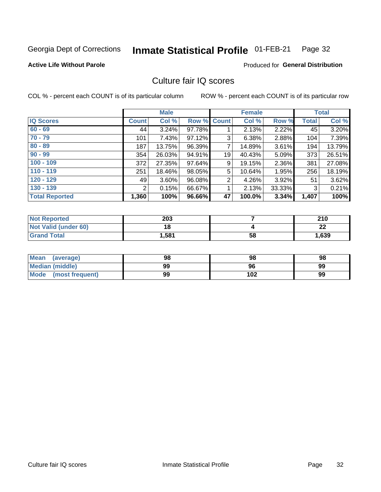#### Inmate Statistical Profile 01-FEB-21 Page 32

#### **Active Life Without Parole**

### **Produced for General Distribution**

## Culture fair IQ scores

COL % - percent each COUNT is of its particular column

|                       |              | <b>Male</b> |                    |                | <b>Female</b> |          |              | <b>Total</b> |
|-----------------------|--------------|-------------|--------------------|----------------|---------------|----------|--------------|--------------|
| <b>IQ Scores</b>      | <b>Count</b> | Col %       | <b>Row % Count</b> |                | Col %         | Row %    | <b>Total</b> | Col %        |
| $60 - 69$             | 44           | $3.24\%$    | 97.78%             |                | 2.13%         | 2.22%    | 45           | 3.20%        |
| $70 - 79$             | 101          | 7.43%       | 97.12%             | 3              | 6.38%         | 2.88%    | 104          | 7.39%        |
| $80 - 89$             | 187          | 13.75%      | 96.39%             | $\overline{7}$ | 14.89%        | 3.61%    | 194          | 13.79%       |
| $90 - 99$             | 354          | 26.03%      | 94.91%             | 19             | 40.43%        | 5.09%    | 373          | 26.51%       |
| $100 - 109$           | 372          | 27.35%      | 97.64%             | 9              | 19.15%        | 2.36%    | 381          | 27.08%       |
| $110 - 119$           | 251          | 18.46%      | 98.05%             | 5              | 10.64%        | 1.95%    | 256          | 18.19%       |
| $120 - 129$           | 49           | 3.60%       | 96.08%             | $\overline{2}$ | 4.26%         | $3.92\%$ | 51           | 3.62%        |
| $130 - 139$           | 2            | 0.15%       | 66.67%             | 1              | 2.13%         | 33.33%   | 3            | 0.21%        |
| <b>Total Reported</b> | 1,360        | 100%        | 96.66%             | 47             | 100.0%        | 3.34%    | 1,407        | 100%         |

| <b>Not Reported</b>  | 203   |    | 210     |
|----------------------|-------|----|---------|
| Not Valid (under 60) | 18    |    | ົ<br>LL |
| <b>Grand Total</b>   | 1,581 | 58 | 1,639   |

| <b>Mean</b><br>(average) | 98 | 98  | 98 |
|--------------------------|----|-----|----|
| Median (middle)          | 99 | 96  | 99 |
| Mode (most frequent)     | 99 | 102 | 99 |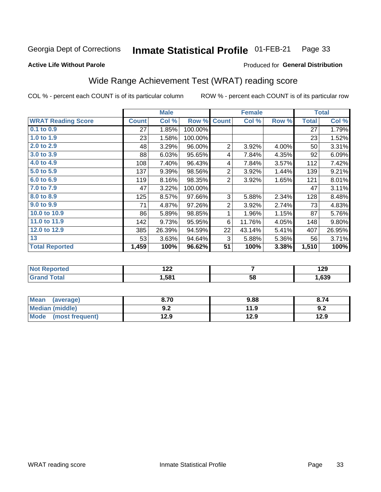#### Inmate Statistical Profile 01-FEB-21 Page 33

#### **Active Life Without Parole**

#### Produced for General Distribution

## Wide Range Achievement Test (WRAT) reading score

COL % - percent each COUNT is of its particular column

|                           |              | <b>Male</b> |         | <b>Female</b>  |        |       | <b>Total</b> |        |
|---------------------------|--------------|-------------|---------|----------------|--------|-------|--------------|--------|
| <b>WRAT Reading Score</b> | <b>Count</b> | Col %       | Row %   | <b>Count</b>   | Col %  | Row % | <b>Total</b> | Col %  |
| $0.1$ to $0.9$            | 27           | 1.85%       | 100.00% |                |        |       | 27           | 1.79%  |
| 1.0 to 1.9                | 23           | 1.58%       | 100.00% |                |        |       | 23           | 1.52%  |
| 2.0 to 2.9                | 48           | 3.29%       | 96.00%  | $\overline{2}$ | 3.92%  | 4.00% | 50           | 3.31%  |
| 3.0 to 3.9                | 88           | 6.03%       | 95.65%  | 4              | 7.84%  | 4.35% | 92           | 6.09%  |
| 4.0 to 4.9                | 108          | 7.40%       | 96.43%  | 4              | 7.84%  | 3.57% | 112          | 7.42%  |
| 5.0 to 5.9                | 137          | 9.39%       | 98.56%  | $\overline{2}$ | 3.92%  | 1.44% | 139          | 9.21%  |
| 6.0 to 6.9                | 119          | 8.16%       | 98.35%  | $\overline{2}$ | 3.92%  | 1.65% | 121          | 8.01%  |
| 7.0 to 7.9                | 47           | 3.22%       | 100.00% |                |        |       | 47           | 3.11%  |
| 8.0 to 8.9                | 125          | 8.57%       | 97.66%  | 3              | 5.88%  | 2.34% | 128          | 8.48%  |
| 9.0 to 9.9                | 71           | 4.87%       | 97.26%  | $\overline{2}$ | 3.92%  | 2.74% | 73           | 4.83%  |
| 10.0 to 10.9              | 86           | 5.89%       | 98.85%  | 1              | 1.96%  | 1.15% | 87           | 5.76%  |
| 11.0 to 11.9              | 142          | 9.73%       | 95.95%  | 6              | 11.76% | 4.05% | 148          | 9.80%  |
| 12.0 to 12.9              | 385          | 26.39%      | 94.59%  | 22             | 43.14% | 5.41% | 407          | 26.95% |
| 13                        | 53           | 3.63%       | 94.64%  | 3              | 5.88%  | 5.36% | 56           | 3.71%  |
| <b>Total Reported</b>     | 1,459        | 100%        | 96.62%  | 51             | 100%   | 3.38% | 1,510        | 100%   |

| <b>Not Reported</b>    | ר ר<br>144 |    | 129  |
|------------------------|------------|----|------|
| <b>Total</b><br>'Grand | 1,581      | 58 | ,639 |

| <b>Mean</b><br>(average)       | 8.70         | 9.88 | 8.74 |
|--------------------------------|--------------|------|------|
| <b>Median (middle)</b>         | י ה<br>้ ⊎.∠ | 11.9 | 9.2  |
| <b>Mode</b><br>(most frequent) | 12.9         | 12.9 | 12.9 |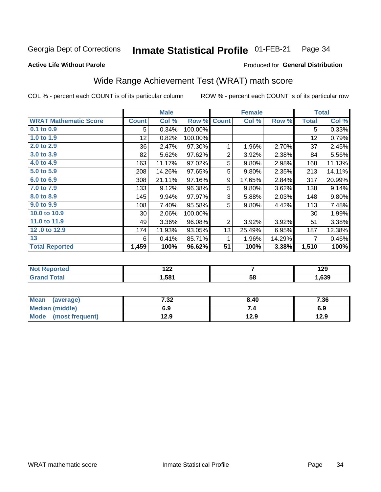#### Inmate Statistical Profile 01-FEB-21 Page 34

### **Active Life Without Parole**

### Produced for General Distribution

## Wide Range Achievement Test (WRAT) math score

COL % - percent each COUNT is of its particular column

|                              |                 | <b>Male</b> |         |                | <b>Female</b> |        |              | <b>Total</b> |
|------------------------------|-----------------|-------------|---------|----------------|---------------|--------|--------------|--------------|
| <b>WRAT Mathematic Score</b> | <b>Count</b>    | Col %       | Row %   | <b>Count</b>   | Col %         | Row %  | <b>Total</b> | Col %        |
| 0.1 to 0.9                   | 5               | 0.34%       | 100.00% |                |               |        | 5            | 0.33%        |
| 1.0 to 1.9                   | 12 <sub>2</sub> | 0.82%       | 100.00% |                |               |        | 12           | 0.79%        |
| 2.0 to 2.9                   | 36              | 2.47%       | 97.30%  |                | 1.96%         | 2.70%  | 37           | 2.45%        |
| 3.0 to 3.9                   | 82              | 5.62%       | 97.62%  | $\overline{2}$ | 3.92%         | 2.38%  | 84           | 5.56%        |
| 4.0 to 4.9                   | 163             | 11.17%      | 97.02%  | 5              | 9.80%         | 2.98%  | 168          | 11.13%       |
| 5.0 to 5.9                   | 208             | 14.26%      | 97.65%  | 5              | 9.80%         | 2.35%  | 213          | 14.11%       |
| 6.0 to 6.9                   | 308             | 21.11%      | 97.16%  | 9              | 17.65%        | 2.84%  | 317          | 20.99%       |
| 7.0 to 7.9                   | 133             | 9.12%       | 96.38%  | 5              | 9.80%         | 3.62%  | 138          | 9.14%        |
| 8.0 to 8.9                   | 145             | 9.94%       | 97.97%  | 3              | 5.88%         | 2.03%  | 148          | 9.80%        |
| 9.0 to 9.9                   | 108             | 7.40%       | 95.58%  | 5              | 9.80%         | 4.42%  | 113          | 7.48%        |
| 10.0 to 10.9                 | $30$            | 2.06%       | 100.00% |                |               |        | 30           | 1.99%        |
| 11.0 to 11.9                 | 49              | 3.36%       | 96.08%  | 2              | 3.92%         | 3.92%  | 51           | 3.38%        |
| 12.0 to 12.9                 | 174             | 11.93%      | 93.05%  | 13             | 25.49%        | 6.95%  | 187          | 12.38%       |
| 13                           | 6               | 0.41%       | 85.71%  | 1              | 1.96%         | 14.29% | 7            | 0.46%        |
| <b>Total Reported</b>        | 1,459           | 100%        | 96.62%  | 51             | 100%          | 3.38%  | 1,510        | 100%         |
|                              |                 |             |         |                |               |        |              |              |

| <b>Not Reported</b> | ה הו<br>17L |    | 190<br>1 Z J |
|---------------------|-------------|----|--------------|
| <b>Total</b>        | 581,ا       | 58 | ,639         |

| <b>Mean</b><br>(average) | 7.32 | 8.40 | 7.36 |
|--------------------------|------|------|------|
| Median (middle)          | 6.9  | ۰.,  | 6.9  |
| Mode<br>(most frequent)  | 12.9 | 12.9 | 12.9 |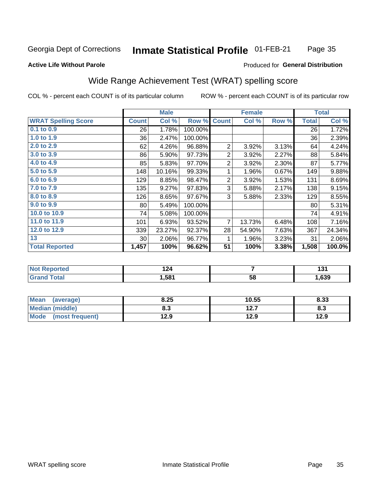#### Inmate Statistical Profile 01-FEB-21 Page 35

#### **Active Life Without Parole**

### Produced for General Distribution

## Wide Range Achievement Test (WRAT) spelling score

COL % - percent each COUNT is of its particular column

ROW % - percent each COUNT is of its particular row

|                            |              | <b>Male</b> |         | <b>Female</b>  |                |       | <b>Total</b> |        |
|----------------------------|--------------|-------------|---------|----------------|----------------|-------|--------------|--------|
| <b>WRAT Spelling Score</b> | <b>Count</b> | Col %       | Row %   | <b>Count</b>   | Col %          | Row % | <b>Total</b> | Col %  |
| 0.1 to 0.9                 | 26           | 1.78%       | 100.00% |                |                |       | 26           | 1.72%  |
| 1.0 to 1.9                 | 36           | 2.47%       | 100.00% |                |                |       | 36           | 2.39%  |
| 2.0 to 2.9                 | 62           | 4.26%       | 96.88%  | 2              | 3.92%          | 3.13% | 64           | 4.24%  |
| 3.0 to 3.9                 | 86           | 5.90%       | 97.73%  | $\overline{2}$ | 3.92%          | 2.27% | 88           | 5.84%  |
| 4.0 to 4.9                 | 85           | 5.83%       | 97.70%  | $\overline{2}$ | 3.92%          | 2.30% | 87           | 5.77%  |
| 5.0 to 5.9                 | 148          | 10.16%      | 99.33%  | 1              | 1.96%          | 0.67% | 149          | 9.88%  |
| 6.0 to 6.9                 | 129          | 8.85%       | 98.47%  | $\overline{2}$ | 3.92%          | 1.53% | 131          | 8.69%  |
| 7.0 to 7.9                 | 135          | 9.27%       | 97.83%  | 3              | 5.88%          | 2.17% | 138          | 9.15%  |
| 8.0 to 8.9                 | 126          | 8.65%       | 97.67%  | 3              | 5.88%          | 2.33% | 129          | 8.55%  |
| 9.0 to 9.9                 | 80           | 5.49%       | 100.00% |                |                |       | 80           | 5.31%  |
| 10.0 to 10.9               | 74           | 5.08%       | 100.00% |                |                |       | 74           | 4.91%  |
| 11.0 to 11.9               | 101          | 6.93%       | 93.52%  | $\overline{7}$ | 13.73%         | 6.48% | 108          | 7.16%  |
| 12.0 to 12.9               | 339          | 23.27%      | 92.37%  | 28             | 54.90%         | 7.63% | 367          | 24.34% |
| 13                         | 30           | 2.06%       | 96.77%  | 1              | 1.96%          | 3.23% | 31           | 2.06%  |
| <b>Total Reported</b>      | 1,457        | 100%        | 96.62%  | 51             | 100%           | 3.38% | 1,508        | 100.0% |
|                            |              |             |         |                |                |       |              |        |
| <b>Not Reported</b>        |              | 124         |         |                | $\overline{7}$ |       | 131          |        |
| <b>Grand Total</b>         |              | 1,581       |         |                | 58             |       |              | 1,639  |

| Mean<br>(average)       | 8.25 | 10.55 | 8.33 |
|-------------------------|------|-------|------|
| <b>Median (middle)</b>  | 8.3  | 12.7  | ი.ა  |
| Mode<br>(most frequent) | 12.9 | 12.9  | 12.9 |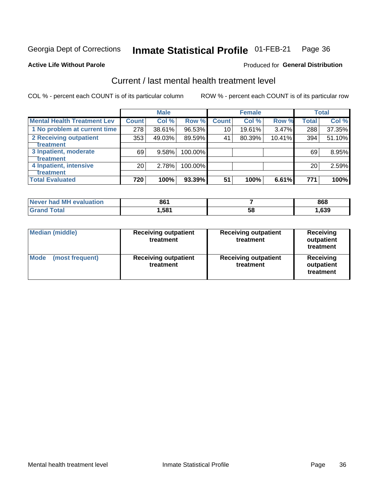#### Inmate Statistical Profile 01-FEB-21 Page 36

**Active Life Without Parole** 

#### Produced for General Distribution

## Current / last mental health treatment level

COL % - percent each COUNT is of its particular column

|                                    |                 | <b>Male</b> |         |              | <b>Female</b> |        |                 | <b>Total</b> |
|------------------------------------|-----------------|-------------|---------|--------------|---------------|--------|-----------------|--------------|
| <b>Mental Health Treatment Lev</b> | <b>Count</b>    | Col %       | Row %   | <b>Count</b> | Col %         | Row %  | <b>Total</b>    | Col %        |
| 1 No problem at current time       | 278             | 38.61%      | 96.53%  | 10           | 19.61%        | 3.47%  | 288             | 37.35%       |
| 2 Receiving outpatient             | 353             | 49.03%      | 89.59%  | 41           | 80.39%        | 10.41% | 394             | 51.10%       |
| <b>Treatment</b>                   |                 |             |         |              |               |        |                 |              |
| 3 Inpatient, moderate              | 69              | 9.58%       | 100.00% |              |               |        | 69              | 8.95%        |
| <b>Treatment</b>                   |                 |             |         |              |               |        |                 |              |
| 4 Inpatient, intensive             | 20 <sub>1</sub> | 2.78%       | 100.00% |              |               |        | 20 <sup>1</sup> | 2.59%        |
| <b>Treatment</b>                   |                 |             |         |              |               |        |                 |              |
| <b>Total Evaluated</b>             | 720             | 100%        | 93.39%  | 51           | 100%          | 6.61%  | 771             | 100%         |

| Never had MH evaluation | 861   |    | 868  |
|-------------------------|-------|----|------|
| <b>Total</b>            | . 581 | 58 | ,639 |

| <b>Median (middle)</b>         | <b>Receiving outpatient</b><br>treatment | <b>Receiving outpatient</b><br>treatment | <b>Receiving</b><br>outpatient<br>treatment |  |
|--------------------------------|------------------------------------------|------------------------------------------|---------------------------------------------|--|
| <b>Mode</b><br>(most frequent) | <b>Receiving outpatient</b><br>treatment | <b>Receiving outpatient</b><br>treatment | <b>Receiving</b><br>outpatient<br>treatment |  |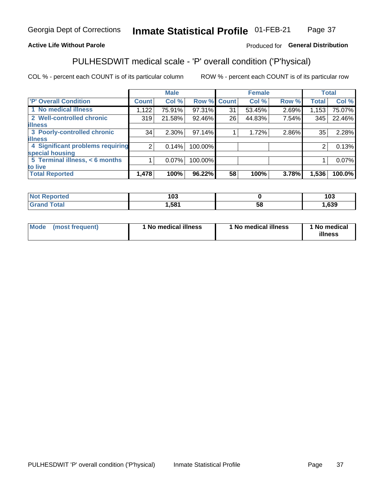#### **Inmate Statistical Profile 01-FEB-21** Page 37

### **Active Life Without Parole**

### Produced for General Distribution

## PULHESDWIT medical scale - 'P' overall condition ('P'hysical)

COL % - percent each COUNT is of its particular column

|                                  |                | <b>Male</b> |         |                    | <b>Female</b> |       |                 | <b>Total</b> |
|----------------------------------|----------------|-------------|---------|--------------------|---------------|-------|-----------------|--------------|
| 'P' Overall Condition            | Count l        | Col %       |         | <b>Row % Count</b> | Col %         | Row % | <b>Total</b>    | Col %        |
| 1 No medical illness             | 1,122          | 75.91%      | 97.31%  | 31                 | 53.45%        | 2.69% | 1,153           | 75.07%       |
| 2 Well-controlled chronic        | 319            | 21.58%      | 92.46%  | 26 <sub>1</sub>    | 44.83%        | 7.54% | 345             | 22.46%       |
| <b>illness</b>                   |                |             |         |                    |               |       |                 |              |
| 3 Poorly-controlled chronic      | 34             | $2.30\%$    | 97.14%  |                    | 1.72%         | 2.86% | 35 <sub>1</sub> | 2.28%        |
| <b>illness</b>                   |                |             |         |                    |               |       |                 |              |
| 4 Significant problems requiring | 2 <sub>1</sub> | 0.14%       | 100.00% |                    |               |       | 2               | 0.13%        |
| special housing                  |                |             |         |                    |               |       |                 |              |
| 5 Terminal illness, < 6 months   |                | $0.07\%$    | 100.00% |                    |               |       |                 | 0.07%        |
| to live                          |                |             |         |                    |               |       |                 |              |
| <b>Total Reported</b>            | 1,478          | 100%        | 96.22%  | 58                 | 100%          | 3.78% | 1,536           | 100.0%       |

| rteo<br>.            | ៱៱៱<br>טו |   | 103  |
|----------------------|-----------|---|------|
| $5 - 6 - 1$<br>_____ | 581,ا     | ວ | ,639 |

|  |  | Mode (most frequent) | 1 No medical illness | 1 No medical illness | 1 No medical<br>illness |
|--|--|----------------------|----------------------|----------------------|-------------------------|
|--|--|----------------------|----------------------|----------------------|-------------------------|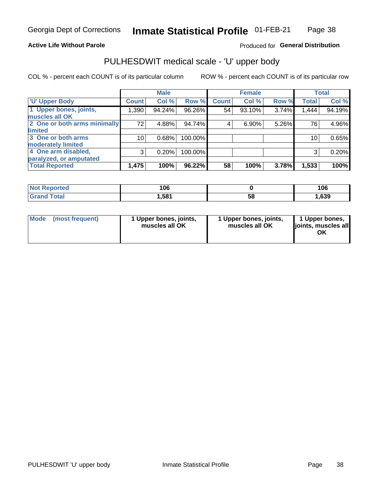### **Active Life Without Parole**

### Produced for General Distribution

## PULHESDWIT medical scale - 'U' upper body

COL % - percent each COUNT is of its particular column

|                              |              | <b>Male</b> |           |              | <b>Female</b> |       |              | <b>Total</b> |
|------------------------------|--------------|-------------|-----------|--------------|---------------|-------|--------------|--------------|
| <b>U' Upper Body</b>         | <b>Count</b> | Col %       | Row %     | <b>Count</b> | Col %         | Row % | <b>Total</b> | Col %        |
| 1 Upper bones, joints,       | 1,390        | 94.24%      | 96.26%    | 54           | 93.10%        | 3.74% | 1,444        | 94.19%       |
| muscles all OK               |              |             |           |              |               |       |              |              |
| 2 One or both arms minimally | 72           | 4.88%       | 94.74%    | 4            | 6.90%         | 5.26% | 76           | 4.96%        |
| limited                      |              |             |           |              |               |       |              |              |
| 3 One or both arms           | 10           | 0.68%       | 100.00%   |              |               |       | 10           | 0.65%        |
| <b>moderately limited</b>    |              |             |           |              |               |       |              |              |
| 4 One arm disabled,          | 3            | 0.20%       | 100.00%   |              |               |       | 3            | 0.20%        |
| paralyzed, or amputated      |              |             |           |              |               |       |              |              |
| <b>Total Reported</b>        | 1,475        | 100%        | $96.22\%$ | 58           | 100%          | 3.78% | 1,533        | 100%         |

| <b>Not Reported</b> | 106   |    | 106  |  |  |
|---------------------|-------|----|------|--|--|
| <b>Grand Total</b>  | 581,ا | 58 | ,639 |  |  |

| <b>Mode</b> | (most frequent) | 1 Upper bones, joints,<br>muscles all OK | 1 Upper bones, joints,<br>muscles all OK | 1 Upper bones,<br>ljoints, muscles all<br>ОK |
|-------------|-----------------|------------------------------------------|------------------------------------------|----------------------------------------------|
|-------------|-----------------|------------------------------------------|------------------------------------------|----------------------------------------------|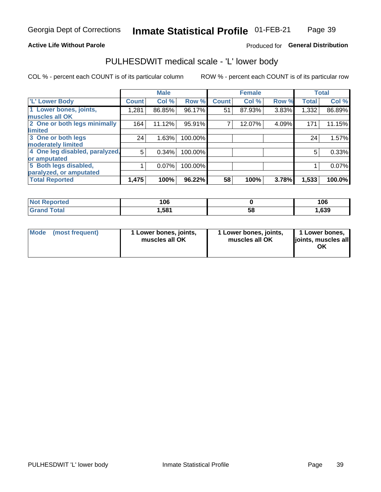### **Active Life Without Parole**

### Produced for General Distribution

## PULHESDWIT medical scale - 'L' lower body

COL % - percent each COUNT is of its particular column

|                                |              | <b>Male</b> |         |              | <b>Female</b> |       |              | <b>Total</b> |
|--------------------------------|--------------|-------------|---------|--------------|---------------|-------|--------------|--------------|
| 'L' Lower Body                 | <b>Count</b> | Col %       | Row %   | <b>Count</b> | Col %         | Row % | <b>Total</b> | Col %        |
| 1 Lower bones, joints,         | 1,281        | 86.85%      | 96.17%  | 51           | 87.93%        | 3.83% | 1,332        | 86.89%       |
| muscles all OK                 |              |             |         |              |               |       |              |              |
| 2 One or both legs minimally   | 164          | 11.12%      | 95.91%  |              | 12.07%        | 4.09% | 171          | 11.15%       |
| limited                        |              |             |         |              |               |       |              |              |
| 3 One or both legs             | 24           | 1.63%       | 100.00% |              |               |       | 24           | 1.57%        |
| moderately limited             |              |             |         |              |               |       |              |              |
| 4 One leg disabled, paralyzed, | 5            | 0.34%       | 100.00% |              |               |       | 5            | 0.33%        |
| or amputated                   |              |             |         |              |               |       |              |              |
| 5 Both legs disabled,          |              | 0.07%       | 100.00% |              |               |       |              | 0.07%        |
| paralyzed, or amputated        |              |             |         |              |               |       |              |              |
| <b>Total Reported</b>          | 1,475        | 100%        | 96.22%  | 58           | 100%          | 3.78% | 1,533        | 100.0%       |

| <b>Not Reported</b>          | 106   |    | 10C<br>l UC |
|------------------------------|-------|----|-------------|
| <b>Total</b><br><b>Grand</b> | 581,ا | 58 | ,639        |

| Mode | (most frequent) | 1 Lower bones, joints,<br>muscles all OK | 1 Lower bones, joints,<br>muscles all OK | 1 Lower bones,<br>joints, muscles all<br>ΟK |
|------|-----------------|------------------------------------------|------------------------------------------|---------------------------------------------|
|------|-----------------|------------------------------------------|------------------------------------------|---------------------------------------------|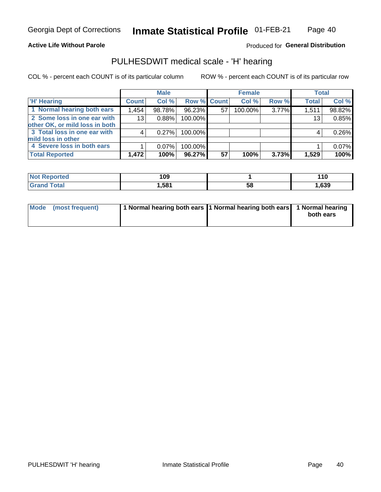### **Active Life Without Parole**

Produced for General Distribution

## PULHESDWIT medical scale - 'H' hearing

COL % - percent each COUNT is of its particular column

|                                |                 | <b>Male</b> |                    |    | <b>Female</b> |       | <b>Total</b> |        |
|--------------------------------|-----------------|-------------|--------------------|----|---------------|-------|--------------|--------|
| <b>H' Hearing</b>              | <b>Count</b>    | Col %       | <b>Row % Count</b> |    | Col %         | Row % | <b>Total</b> | Col %  |
| 1 Normal hearing both ears     | 1,454           | 98.78%      | 96.23%             | 57 | 100.00%       | 3.77% | 1,511        | 98.82% |
| 2 Some loss in one ear with    | 13 <sub>1</sub> | 0.88%       | 100.00%            |    |               |       | 13           | 0.85%  |
| other OK, or mild loss in both |                 |             |                    |    |               |       |              |        |
| 3 Total loss in one ear with   | 4               | 0.27%       | 100.00%            |    |               |       | 4            | 0.26%  |
| mild loss in other             |                 |             |                    |    |               |       |              |        |
| 4 Severe loss in both ears     |                 | $0.07\%$    | 100.00%            |    |               |       |              | 0.07%  |
| <b>Total Reported</b>          | 1,472           | 100%        | 96.27%             | 57 | 100%          | 3.73% | 1,529        | 100%   |

| <b>Not</b><br><b>Reported</b> | 09 ا |    | 1 U<br>__ |
|-------------------------------|------|----|-----------|
| `otal                         | .581 | აა | ,639      |

| Mode (most frequent) | 1 Normal hearing both ears 1 Normal hearing both ears 1 Normal hearing | both ears |
|----------------------|------------------------------------------------------------------------|-----------|
|                      |                                                                        |           |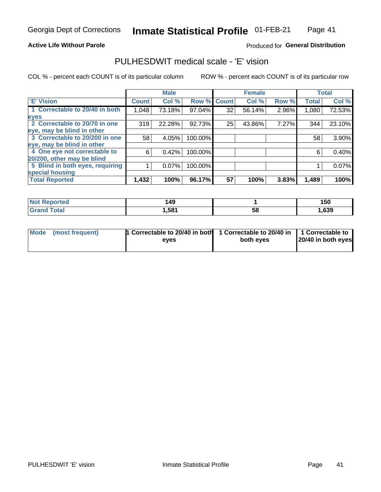### **Active Life Without Parole**

### Produced for General Distribution

## PULHESDWIT medical scale - 'E' vision

COL % - percent each COUNT is of its particular column

|                                 |              | <b>Male</b> |             |    | <b>Female</b> |       |              | <b>Total</b> |
|---------------------------------|--------------|-------------|-------------|----|---------------|-------|--------------|--------------|
| <b>E' Vision</b>                | <b>Count</b> | Col %       | Row % Count |    | Col %         | Row % | <b>Total</b> | Col %        |
| 1 Correctable to 20/40 in both  | 1,048        | 73.18%      | 97.04%      | 32 | 56.14%        | 2.96% | 1,080        | 72.53%       |
| eyes                            |              |             |             |    |               |       |              |              |
| 2 Correctable to 20/70 in one   | 319          | 22.28%      | 92.73%      | 25 | 43.86%        | 7.27% | 344          | 23.10%       |
| eye, may be blind in other      |              |             |             |    |               |       |              |              |
| 3 Correctable to 20/200 in one  | 58           | 4.05%       | 100.00%     |    |               |       | 58           | 3.90%        |
| eye, may be blind in other      |              |             |             |    |               |       |              |              |
| 4 One eye not correctable to    | 6            | 0.42%       | 100.00%     |    |               |       | 6            | 0.40%        |
| 20/200, other may be blind      |              |             |             |    |               |       |              |              |
| 5 Blind in both eyes, requiring |              | $0.07\%$    | 100.00%     |    |               |       |              | 0.07%        |
| special housing                 |              |             |             |    |               |       |              |              |
| <b>Total Reported</b>           | 1,432        | 100%        | 96.17%      | 57 | 100%          | 3.83% | 1,489        | 100%         |

| <b>rted</b><br>NO | 149           |          | 150  |
|-------------------|---------------|----------|------|
| $F$ atal          | $.58^{\circ}$ | Eε<br>Эō | ,639 |

| Mode (most frequent) | 1 Correctable to 20/40 in both<br>eves | 1 Correctable to 20/40 in   1 Correctable to  <br>both eyes | 20/40 in both eyes |
|----------------------|----------------------------------------|-------------------------------------------------------------|--------------------|
|                      |                                        |                                                             |                    |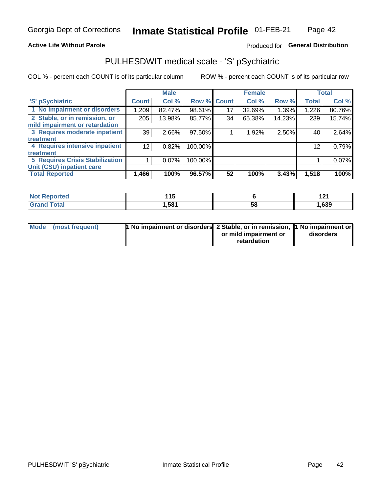### **Active Life Without Parole**

### Produced for General Distribution

## PULHESDWIT medical scale - 'S' pSychiatric

COL % - percent each COUNT is of its particular column

|                                        |                 | <b>Male</b> |                    |    | <b>Female</b> |        |              | <b>Total</b> |
|----------------------------------------|-----------------|-------------|--------------------|----|---------------|--------|--------------|--------------|
| 'S' pSychiatric                        | <b>Count</b>    | Col %       | <b>Row % Count</b> |    | Col %         | Row %  | <b>Total</b> | Col %        |
| 1 No impairment or disorders           | 1,209           | 82.47%      | 98.61%             | 17 | 32.69%        | 1.39%  | 1,226        | 80.76%       |
| 2 Stable, or in remission, or          | 205             | 13.98%      | 85.77%             | 34 | 65.38%        | 14.23% | 239          | 15.74%       |
| mild impairment or retardation         |                 |             |                    |    |               |        |              |              |
| 3 Requires moderate inpatient          | 39              | 2.66%       | 97.50%             |    | 1.92%         | 2.50%  | 40           | 2.64%        |
| treatment                              |                 |             |                    |    |               |        |              |              |
| 4 Requires intensive inpatient         | 12 <sub>1</sub> | 0.82%       | 100.00%            |    |               |        | 12           | 0.79%        |
| treatment                              |                 |             |                    |    |               |        |              |              |
| <b>5 Requires Crisis Stabilization</b> |                 | $0.07\%$    | 100.00%            |    |               |        |              | 0.07%        |
| Unit (CSU) inpatient care              |                 |             |                    |    |               |        |              |              |
| <b>Total Reported</b>                  | 1,466           | 100%        | 96.57%             | 52 | 100%          | 3.43%  | 1,518        | 100%         |

| <b>Exercised</b><br><b>NOT</b><br>кемо | .<br>.<br>. .<br>$\sim$ |    | 12.<br>14 L |
|----------------------------------------|-------------------------|----|-------------|
| Total                                  | ,581                    | 58 | 1,639       |

| Mode (most frequent) | <b>1 No impairment or disorders 2 Stable, or in remission, 1 No impairment or</b> |                       |           |
|----------------------|-----------------------------------------------------------------------------------|-----------------------|-----------|
|                      |                                                                                   | or mild impairment or | disorders |
|                      |                                                                                   | retardation           |           |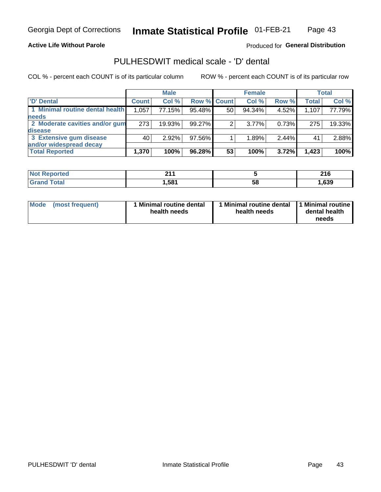### **Active Life Without Parole**

Produced for General Distribution

## PULHESDWIT medical scale - 'D' dental

COL % - percent each COUNT is of its particular column

|                                 |              | <b>Male</b> |             |    | <b>Female</b> |       |              | <b>Total</b> |
|---------------------------------|--------------|-------------|-------------|----|---------------|-------|--------------|--------------|
| 'D' Dental                      | <b>Count</b> | Col %       | Row % Count |    | Col %         | Row % | <b>Total</b> | Col %        |
| 1 Minimal routine dental health | 1,057        | 77.15%      | 95.48%      | 50 | 94.34%        | 4.52% | 1,107        | 77.79%       |
| <b>needs</b>                    |              |             |             |    |               |       |              |              |
| 2 Moderate cavities and/or gum  | 273          | 19.93%      | 99.27%      |    | 3.77%         | 0.73% | 275          | 19.33%       |
| disease                         |              |             |             |    |               |       |              |              |
| 3 Extensive gum disease         | 40           | 2.92%       | 97.56%      |    | 1.89%         | 2.44% | 41           | 2.88%        |
| and/or widespread decay         |              |             |             |    |               |       |              |              |
| <b>Total Reported</b>           | 1,370        | 100%        | 96.28%      | 53 | 100%          | 3.72% | 1,423        | 100%         |

| prtea<br>NOT F<br> | 24<br>.          |    | 24C<br>2 I U |
|--------------------|------------------|----|--------------|
| <b>cotal</b>       | .58 <sup>4</sup> | 58 | ,639         |

| <b>Mode</b><br><b>Minimal routine dental</b><br>(most frequent)<br>health needs | Minimal routine dental<br>health needs | 1 Minimal routine<br>dental health<br>needs |
|---------------------------------------------------------------------------------|----------------------------------------|---------------------------------------------|
|---------------------------------------------------------------------------------|----------------------------------------|---------------------------------------------|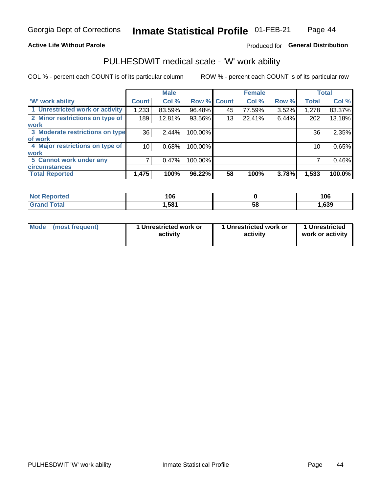### **Active Life Without Parole**

### Produced for General Distribution

## PULHESDWIT medical scale - 'W' work ability

COL % - percent each COUNT is of its particular column

|                                 |              | <b>Male</b> |         |             | <b>Female</b> |       |              | <b>Total</b> |
|---------------------------------|--------------|-------------|---------|-------------|---------------|-------|--------------|--------------|
| <b>W' work ability</b>          | <b>Count</b> | Col %       |         | Row % Count | Col %         | Row % | <b>Total</b> | Col %        |
| 1 Unrestricted work or activity | 1,233        | 83.59%      | 96.48%  | 45          | 77.59%        | 3.52% | 1,278        | 83.37%       |
| 2 Minor restrictions on type of | 189          | 12.81%      | 93.56%  | 13          | 22.41%        | 6.44% | 202          | 13.18%       |
| <b>work</b>                     |              |             |         |             |               |       |              |              |
| 3 Moderate restrictions on type | 36           | 2.44%       | 100.00% |             |               |       | 36           | 2.35%        |
| lof work                        |              |             |         |             |               |       |              |              |
| 4 Major restrictions on type of | 10           | 0.68%       | 100.00% |             |               |       | 10           | 0.65%        |
| <b>work</b>                     |              |             |         |             |               |       |              |              |
| 5 Cannot work under any         |              | 0.47%       | 100.00% |             |               |       |              | 0.46%        |
| <b>circumstances</b>            |              |             |         |             |               |       |              |              |
| <b>Total Reported</b>           | 1,475        | 100%        | 96.22%  | 58          | 100%          | 3.78% | 1,533        | 100.0%       |

| <b>Not Reported</b>   | 106   |    | 106  |
|-----------------------|-------|----|------|
| <b>Total</b><br>Grand | Ⅰ,581 | 58 | ,639 |

| <b>Mode</b> | (most frequent) | 1 Unrestricted work or<br>activity | 1 Unrestricted work or<br>activity | 1 Unrestricted<br>work or activity |
|-------------|-----------------|------------------------------------|------------------------------------|------------------------------------|
|-------------|-----------------|------------------------------------|------------------------------------|------------------------------------|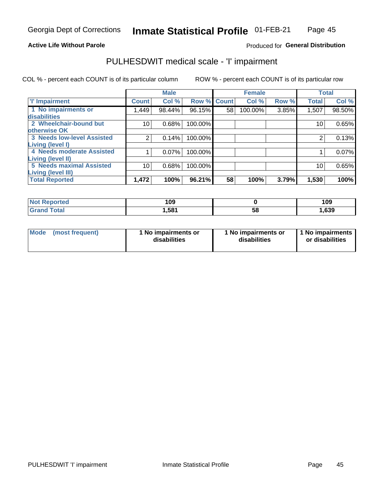### **Active Life Without Parole**

### Produced for General Distribution

## PULHESDWIT medical scale - 'I' impairment

|                                   |                 | <b>Male</b> |             |    | <b>Female</b> |       |              | <b>Total</b> |
|-----------------------------------|-----------------|-------------|-------------|----|---------------|-------|--------------|--------------|
| <b>T' Impairment</b>              | <b>Count</b>    | Col %       | Row % Count |    | Col %         | Row % | <b>Total</b> | Col %        |
| 1 No impairments or               | .449            | 98.44%      | 96.15%      | 58 | 100.00%       | 3.85% | 1,507        | 98.50%       |
| disabilities                      |                 |             |             |    |               |       |              |              |
| 2 Wheelchair-bound but            | 10              | 0.68%       | 100.00%     |    |               |       | 10           | 0.65%        |
| otherwise OK                      |                 |             |             |    |               |       |              |              |
| <b>3 Needs low-level Assisted</b> | 2               | 0.14%       | 100.00%     |    |               |       | 2            | 0.13%        |
| Living (level I)                  |                 |             |             |    |               |       |              |              |
| 4 Needs moderate Assisted         |                 | 0.07%       | 100.00%     |    |               |       |              | 0.07%        |
| <b>Living (level II)</b>          |                 |             |             |    |               |       |              |              |
| <b>5 Needs maximal Assisted</b>   | 10 <sub>1</sub> | 0.68%       | 100.00%     |    |               |       | 10           | 0.65%        |
| <b>Living (level III)</b>         |                 |             |             |    |               |       |              |              |
| <b>Total Reported</b>             | 1,472           | 100%        | 96.21%      | 58 | 100%          | 3.79% | 1,530        | 100%         |

| Reported<br>NOT | 109   |        | 109   |
|-----------------|-------|--------|-------|
| <b>Total</b>    | 581.ا | <br>Ⴢჾ | 1,639 |

| <b>Mode</b> | (most frequent) | 1 No impairments or<br>disabilities | 1 No impairments or<br>disabilities | 1 No impairments<br>or disabilities |
|-------------|-----------------|-------------------------------------|-------------------------------------|-------------------------------------|
|-------------|-----------------|-------------------------------------|-------------------------------------|-------------------------------------|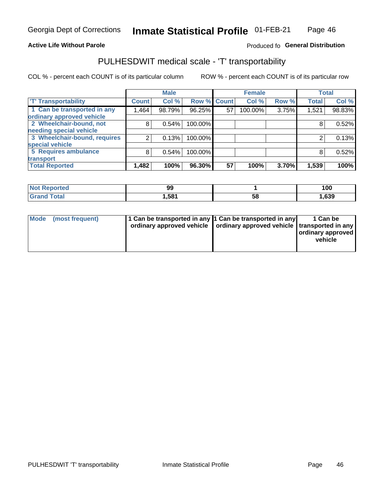### **Active Life Without Parole**

### Produced fo General Distribution

## PULHESDWIT medical scale - 'T' transportability

COL % - percent each COUNT is of its particular column

|                              |              | <b>Male</b> |         |             | <b>Female</b> |       |              | <b>Total</b> |
|------------------------------|--------------|-------------|---------|-------------|---------------|-------|--------------|--------------|
| <b>T' Transportability</b>   | <b>Count</b> | Col %       |         | Row % Count | Col %         | Row % | <b>Total</b> | Col %        |
| 1 Can be transported in any  | 1,464        | 98.79%      | 96.25%  | 57          | 100.00%       | 3.75% | 1,521        | 98.83%       |
| ordinary approved vehicle    |              |             |         |             |               |       |              |              |
| 2 Wheelchair-bound, not      | 8            | 0.54%       | 100.00% |             |               |       |              | 0.52%        |
| needing special vehicle      |              |             |         |             |               |       |              |              |
| 3 Wheelchair-bound, requires |              | 0.13%       | 100.00% |             |               |       |              | 0.13%        |
| special vehicle              |              |             |         |             |               |       |              |              |
| 5 Requires ambulance         | 8            | 0.54%       | 100.00% |             |               |       | 8            | 0.52%        |
| transport                    |              |             |         |             |               |       |              |              |
| <b>Total Reported</b>        | .482         | 100%        | 96.30%  | 57          | 100%          | 3.70% | 1,539        | 100%         |

| orted        | <b>99</b> |    | 100  |
|--------------|-----------|----|------|
| <b>Total</b> | 581.ا     | აჾ | ,639 |

| <b>Mode</b> | (most frequent) | 11 Can be transported in any 11 Can be transported in any<br>ordinary approved vehicle   ordinary approved vehicle   transported in any |  | 1 Can be<br>ordinary approved<br>vehicle |
|-------------|-----------------|-----------------------------------------------------------------------------------------------------------------------------------------|--|------------------------------------------|
|-------------|-----------------|-----------------------------------------------------------------------------------------------------------------------------------------|--|------------------------------------------|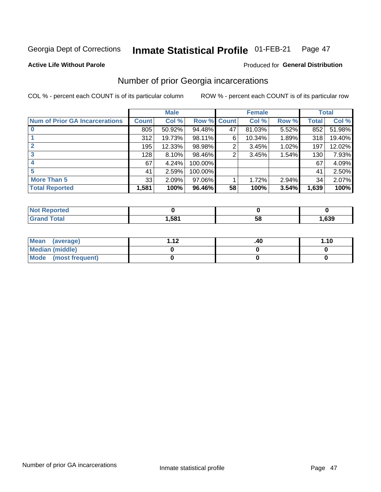#### Inmate Statistical Profile 01-FEB-21 Page 47

#### **Active Life Without Parole**

### **Produced for General Distribution**

## Number of prior Georgia incarcerations

COL % - percent each COUNT is of its particular column

|                                       |              | <b>Male</b> |                    |    | <b>Female</b> |       |       | <b>Total</b> |
|---------------------------------------|--------------|-------------|--------------------|----|---------------|-------|-------|--------------|
| <b>Num of Prior GA Incarcerations</b> | <b>Count</b> | Col %       | <b>Row % Count</b> |    | Col %         | Row % | Total | Col %        |
|                                       | 805          | 50.92%      | 94.48%             | 47 | 81.03%        | 5.52% | 852   | 51.98%       |
|                                       | 312          | 19.73%      | 98.11%             | 6  | 10.34%        | 1.89% | 318   | 19.40%       |
|                                       | 195          | 12.33%      | 98.98%             | 2  | 3.45%         | 1.02% | 197   | 12.02%       |
| 3                                     | 128          | $8.10\%$    | 98.46%             | 2  | 3.45%         | 1.54% | 130   | 7.93%        |
|                                       | 67           | 4.24%       | 100.00%            |    |               |       | 67    | 4.09%        |
| 5                                     | 41           | 2.59%       | 100.00%            |    |               |       | 41    | 2.50%        |
| <b>More Than 5</b>                    | 33           | 2.09%       | 97.06%             |    | 1.72%         | 2.94% | 34    | 2.07%        |
| <b>Total Reported</b>                 | 1,581        | 100%        | 96.46%             | 58 | 100%          | 3.54% | 1,639 | 100%         |

| <b>orted</b><br><b>NI</b>       |     |            |      |
|---------------------------------|-----|------------|------|
| <b>otal</b><br>$\mathbf{v}$ and | 581 | - 12<br>JL | ,639 |

| Mean (average)       | 1 1 J | .40 | 1.10 |
|----------------------|-------|-----|------|
| Median (middle)      |       |     |      |
| Mode (most frequent) |       |     |      |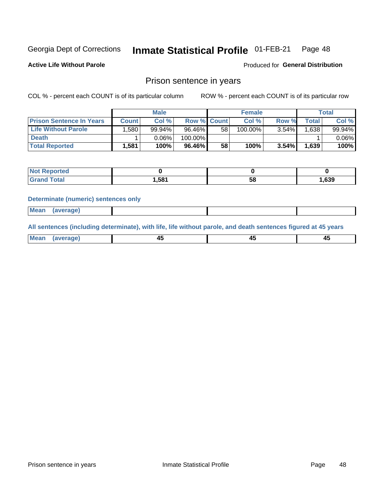#### **Inmate Statistical Profile 01-FEB-21** Page 48

**Active Life Without Parole** 

Produced for General Distribution

### Prison sentence in years

COL % - percent each COUNT is of its particular column

ROW % - percent each COUNT is of its particular row

|                                 | <b>Male</b> |        |                    |    | <b>Female</b> | Total    |             |          |
|---------------------------------|-------------|--------|--------------------|----|---------------|----------|-------------|----------|
| <b>Prison Sentence In Years</b> | Count⊺      | Col %  | <b>Row % Count</b> |    | Col %         | Row %    | $\tau$ otal | Col %    |
| <b>Life Without Parole</b>      | .580        | 99.94% | 96.46%             | 58 | 100.00%       | $3.54\%$ | .638        | 99.94%   |
| <b>Death</b>                    |             | 0.06%  | 100.00%            |    |               |          |             | $0.06\%$ |
| <b>Total Reported</b>           | 1,581       | 100%   | 96.46%             | 58 | 100%          | $3.54\%$ | 1,639       | 100%     |

| ported<br><b>NOT</b> |       |    |      |
|----------------------|-------|----|------|
| 'otal                | 1,581 | эс | ,639 |

#### **Determinate (numeric) sentences only**

| Mean<br><b>CANG</b> |         |  |  |
|---------------------|---------|--|--|
|                     | 1112211 |  |  |

All sentences (including determinate), with life, life without parole, and death sentences figured at 45 years

| Me:<br>апе<br>᠇<br> | $\sim$<br>$\sim$ |  |
|---------------------|------------------|--|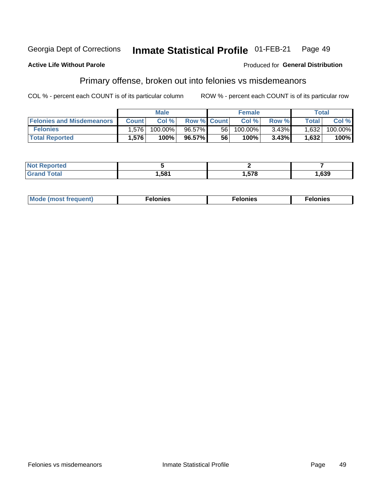#### Inmate Statistical Profile 01-FEB-21 Georgia Dept of Corrections Page 49

#### **Active Life Without Parole**

#### Produced for General Distribution

## Primary offense, broken out into felonies vs misdemeanors

COL % - percent each COUNT is of its particular column

|                                  | <b>Male</b>  |         |                    | <b>Female</b> |         |          | Total              |         |
|----------------------------------|--------------|---------|--------------------|---------------|---------|----------|--------------------|---------|
| <b>Felonies and Misdemeanors</b> | <b>Count</b> | Col%    | <b>Row % Count</b> |               | Col%    | Row %    | Total <sub>1</sub> | Col %   |
| <b>Felonies</b>                  | 1.576        | 100.00% | 96.57%             | 56 I          | 100.00% | $3.43\%$ | 1,632              | 100.00% |
| <b>Total Reported</b>            | .576         | 100%    | 96.57%             | 56            | 100%    | 3.43%    | 1,632              | 100%    |

| <b>Not Reported</b>     |      |     |      |
|-------------------------|------|-----|------|
| d Total<br><b>Grand</b> | ,581 | 578 | ,639 |

| <b>Mode</b><br>frequent)<br>nies<br>≧ (most tr.<br>. | onies<br>. | lonies<br>ею<br>____ |
|------------------------------------------------------|------------|----------------------|
|------------------------------------------------------|------------|----------------------|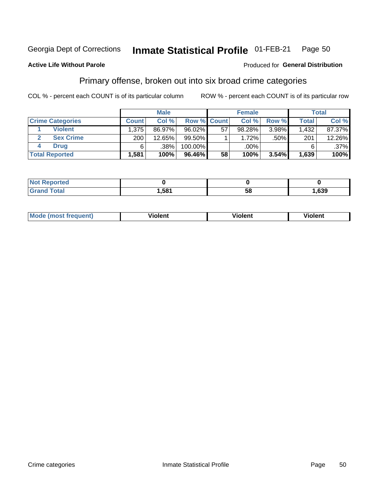#### Inmate Statistical Profile 01-FEB-21 Page 50

### **Active Life Without Parole**

#### Produced for General Distribution

## Primary offense, broken out into six broad crime categories

COL % - percent each COUNT is of its particular column

|                         | <b>Male</b>  |        |             | <b>Female</b> |        |       | Total        |        |
|-------------------------|--------------|--------|-------------|---------------|--------|-------|--------------|--------|
| <b>Crime Categories</b> | <b>Count</b> | Col %  | Row % Count |               | Col %  | Row % | <b>Total</b> | Col %  |
| <b>Violent</b>          | 1,375        | 86.97% | 96.02%      | 57            | 98.28% | 3.98% | 1,432        | 87.37% |
| <b>Sex Crime</b>        | 200          | 12.65% | $99.50\%$   |               | 1.72%  | .50%  | 201          | 12.26% |
| <b>Drug</b>             | 6            | .38%   | 100.00%     |               | .00%   |       |              | .37%   |
| <b>Total Reported</b>   | 1,581        | 100%   | 96.46%      | 58            | 100%   | 3.54% | 1,639        | 100%   |

| _____ | .581 | 58 | ,639 |
|-------|------|----|------|

| <b>Mode (most frequent)</b> | .             |         | .     |
|-----------------------------|---------------|---------|-------|
|                             | <b>ïolent</b> | ∕iolent | ∍lent |
|                             |               |         |       |
|                             |               |         |       |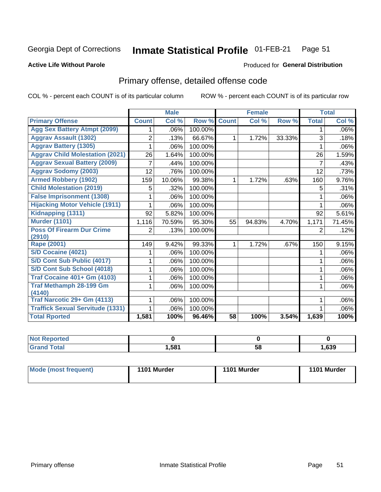#### Inmate Statistical Profile 01-FEB-21 Page 51

#### **Active Life Without Parole**

### **Produced for General Distribution**

## Primary offense, detailed offense code

COL % - percent each COUNT is of its particular column

|                                         |                | <b>Male</b>                |         |              | <b>Female</b> |        |                | <b>Total</b> |
|-----------------------------------------|----------------|----------------------------|---------|--------------|---------------|--------|----------------|--------------|
| <b>Primary Offense</b>                  | <b>Count</b>   | $\overline{\text{Col }^9}$ | Row %   | <b>Count</b> | Col %         | Row %  | <b>Total</b>   | Col %        |
| <b>Agg Sex Battery Atmpt (2099)</b>     |                | .06%                       | 100.00% |              |               |        | 1              | .06%         |
| <b>Aggrav Assault (1302)</b>            | 2              | .13%                       | 66.67%  | 1            | 1.72%         | 33.33% | 3              | .18%         |
| <b>Aggrav Battery (1305)</b>            |                | .06%                       | 100.00% |              |               |        |                | .06%         |
| <b>Aggrav Child Molestation (2021)</b>  | 26             | 1.64%                      | 100.00% |              |               |        | 26             | 1.59%        |
| <b>Aggrav Sexual Battery (2009)</b>     | 7              | .44%                       | 100.00% |              |               |        | $\overline{7}$ | .43%         |
| <b>Aggrav Sodomy (2003)</b>             | 12             | .76%                       | 100.00% |              |               |        | 12             | .73%         |
| <b>Armed Robbery (1902)</b>             | 159            | 10.06%                     | 99.38%  | 1            | 1.72%         | .63%   | 160            | 9.76%        |
| <b>Child Molestation (2019)</b>         | 5              | .32%                       | 100.00% |              |               |        | 5              | .31%         |
| <b>False Imprisonment (1308)</b>        |                | .06%                       | 100.00% |              |               |        |                | .06%         |
| <b>Hijacking Motor Vehicle (1911)</b>   |                | .06%                       | 100.00% |              |               |        |                | .06%         |
| Kidnapping (1311)                       | 92             | 5.82%                      | 100.00% |              |               |        | 92             | 5.61%        |
| <b>Murder (1101)</b>                    | 1,116          | 70.59%                     | 95.30%  | 55           | 94.83%        | 4.70%  | 1,171          | 71.45%       |
| <b>Poss Of Firearm Dur Crime</b>        | $\overline{2}$ | .13%                       | 100.00% |              |               |        | 2              | .12%         |
| (2910)                                  |                |                            |         |              |               |        |                |              |
| <b>Rape (2001)</b>                      | 149            | 9.42%                      | 99.33%  | 1            | 1.72%         | .67%   | 150            | 9.15%        |
| <b>S/D Cocaine (4021)</b>               |                | .06%                       | 100.00% |              |               |        |                | .06%         |
| S/D Cont Sub Public (4017)              |                | .06%                       | 100.00% |              |               |        |                | .06%         |
| S/D Cont Sub School (4018)              |                | .06%                       | 100.00% |              |               |        | 1              | .06%         |
| <b>Traf Cocaine 401+ Gm (4103)</b>      |                | .06%                       | 100.00% |              |               |        | 1              | .06%         |
| <b>Traf Methamph 28-199 Gm</b>          | 1              | .06%                       | 100.00% |              |               |        | 1              | .06%         |
| (4140)                                  |                |                            |         |              |               |        |                |              |
| Traf Narcotic 29+ Gm (4113)             |                | .06%                       | 100.00% |              |               |        |                | .06%         |
| <b>Traffick Sexual Servitude (1331)</b> |                | .06%                       | 100.00% |              |               |        |                | .06%         |
| <b>Total Rported</b>                    | 1,581          | 100%                       | 96.46%  | 58           | 100%          | 3.54%  | 1,639          | 100%         |

| <b>Not</b><br><b>orted</b><br>Renc |      |          |      |
|------------------------------------|------|----------|------|
| <b>Total</b>                       | ,581 | --<br>58 | ,639 |

| Mode (most frequent) | 1101 Murder | 1101 Murder | 1101 Murder |
|----------------------|-------------|-------------|-------------|
|----------------------|-------------|-------------|-------------|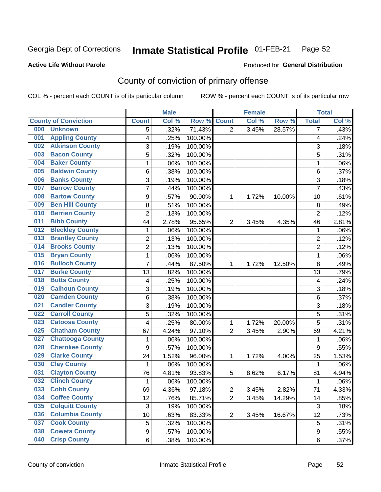#### Inmate Statistical Profile 01-FEB-21 Page 52

### **Active Life Without Parole**

#### Produced for General Distribution

## County of conviction of primary offense

COL % - percent each COUNT is of its particular column

|                                |                         | <b>Male</b> |         |                | <b>Female</b> |        |                | <b>Total</b> |
|--------------------------------|-------------------------|-------------|---------|----------------|---------------|--------|----------------|--------------|
| <b>County of Conviction</b>    | <b>Count</b>            | Col %       | Row %   | <b>Count</b>   | Col %         | Row %  | <b>Total</b>   | Col %        |
| 000<br><b>Unknown</b>          | 5                       | .32%        | 71.43%  | $\overline{2}$ | 3.45%         | 28.57% | 7              | .43%         |
| <b>Appling County</b><br>001   | 4                       | .25%        | 100.00% |                |               |        | 4              | .24%         |
| <b>Atkinson County</b><br>002  | 3                       | .19%        | 100.00% |                |               |        | 3              | .18%         |
| <b>Bacon County</b><br>003     | 5                       | .32%        | 100.00% |                |               |        | 5              | .31%         |
| <b>Baker County</b><br>004     | 1                       | .06%        | 100.00% |                |               |        | 1              | .06%         |
| <b>Baldwin County</b><br>005   | 6                       | .38%        | 100.00% |                |               |        | 6              | .37%         |
| <b>Banks County</b><br>006     | 3                       | .19%        | 100.00% |                |               |        | 3              | .18%         |
| <b>Barrow County</b><br>007    | 7                       | .44%        | 100.00% |                |               |        | $\overline{7}$ | .43%         |
| <b>Bartow County</b><br>008    | 9                       | .57%        | 90.00%  | 1              | 1.72%         | 10.00% | 10             | .61%         |
| <b>Ben Hill County</b><br>009  | 8                       | .51%        | 100.00% |                |               |        | 8              | .49%         |
| <b>Berrien County</b><br>010   | $\overline{c}$          | .13%        | 100.00% |                |               |        | $\overline{2}$ | .12%         |
| <b>Bibb County</b><br>011      | 44                      | 2.78%       | 95.65%  | $\overline{2}$ | 3.45%         | 4.35%  | 46             | 2.81%        |
| <b>Bleckley County</b><br>012  | 1                       | .06%        | 100.00% |                |               |        | 1              | .06%         |
| <b>Brantley County</b><br>013  | $\overline{c}$          | .13%        | 100.00% |                |               |        | $\overline{2}$ | .12%         |
| <b>Brooks County</b><br>014    | $\overline{2}$          | .13%        | 100.00% |                |               |        | $\overline{2}$ | .12%         |
| <b>Bryan County</b><br>015     | 1                       | .06%        | 100.00% |                |               |        | 1              | .06%         |
| <b>Bulloch County</b><br>016   | $\overline{7}$          | .44%        | 87.50%  | 1              | 1.72%         | 12.50% | 8              | .49%         |
| <b>Burke County</b><br>017     | 13                      | .82%        | 100.00% |                |               |        | 13             | .79%         |
| <b>Butts County</b><br>018     | $\overline{\mathbf{4}}$ | .25%        | 100.00% |                |               |        | 4              | .24%         |
| <b>Calhoun County</b><br>019   | 3                       | .19%        | 100.00% |                |               |        | 3              | .18%         |
| <b>Camden County</b><br>020    | 6                       | .38%        | 100.00% |                |               |        | 6              | .37%         |
| <b>Candler County</b><br>021   | 3                       | .19%        | 100.00% |                |               |        | 3              | .18%         |
| <b>Carroll County</b><br>022   | 5                       | .32%        | 100.00% |                |               |        | 5              | .31%         |
| <b>Catoosa County</b><br>023   | 4                       | .25%        | 80.00%  | 1              | 1.72%         | 20.00% | 5              | .31%         |
| <b>Chatham County</b><br>025   | 67                      | 4.24%       | 97.10%  | $\overline{2}$ | 3.45%         | 2.90%  | 69             | 4.21%        |
| <b>Chattooga County</b><br>027 | 1                       | .06%        | 100.00% |                |               |        | 1              | .06%         |
| <b>Cherokee County</b><br>028  | $\overline{9}$          | .57%        | 100.00% |                |               |        | 9              | .55%         |
| <b>Clarke County</b><br>029    | 24                      | 1.52%       | 96.00%  | 1              | 1.72%         | 4.00%  | 25             | 1.53%        |
| <b>Clay County</b><br>030      | 1                       | .06%        | 100.00% |                |               |        | 1              | .06%         |
| <b>Clayton County</b><br>031   | 76                      | 4.81%       | 93.83%  | 5              | 8.62%         | 6.17%  | 81             | 4.94%        |
| <b>Clinch County</b><br>032    | 1                       | .06%        | 100.00% |                |               |        | 1              | .06%         |
| 033<br><b>Cobb County</b>      | 69                      | 4.36%       | 97.18%  | $\overline{2}$ | 3.45%         | 2.82%  | 71             | 4.33%        |
| <b>Coffee County</b><br>034    | 12                      | .76%        | 85.71%  | $\overline{2}$ | 3.45%         | 14.29% | 14             | .85%         |
| <b>Colquitt County</b><br>035  | $\sqrt{3}$              | .19%        | 100.00% |                |               |        | 3              | .18%         |
| <b>Columbia County</b><br>036  | 10                      | .63%        | 83.33%  | $\overline{2}$ | 3.45%         | 16.67% | 12             | .73%         |
| <b>Cook County</b><br>037      | 5                       | .32%        | 100.00% |                |               |        | 5              | .31%         |
| <b>Coweta County</b><br>038    | $\boldsymbol{9}$        | .57%        | 100.00% |                |               |        | 9              | .55%         |
| <b>Crisp County</b><br>040     | 6                       | .38%        | 100.00% |                |               |        | 6              | .37%         |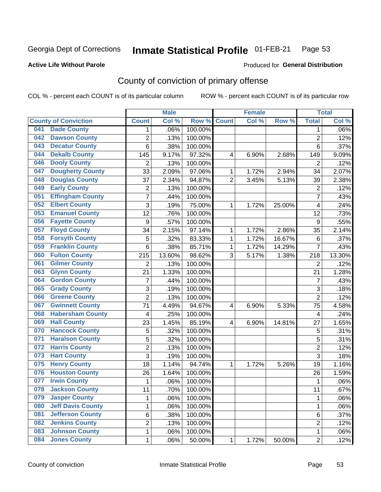#### Inmate Statistical Profile 01-FEB-21 Page 53

#### **Active Life Without Parole**

#### Produced for General Distribution

## County of conviction of primary offense

COL % - percent each COUNT is of its particular column

|                              |                          |                  | <b>Male</b> |         |                | <b>Female</b> |        |                | <b>Total</b> |
|------------------------------|--------------------------|------------------|-------------|---------|----------------|---------------|--------|----------------|--------------|
| <b>County of Conviction</b>  |                          | <b>Count</b>     | Col %       | Row %   | <b>Count</b>   | Col %         | Row %  | <b>Total</b>   | Col %        |
| <b>Dade County</b><br>041    |                          | 1                | .06%        | 100.00% |                |               |        | 1              | .06%         |
| <b>Dawson County</b><br>042  |                          | $\overline{c}$   | .13%        | 100.00% |                |               |        | $\overline{2}$ | .12%         |
| <b>Decatur County</b><br>043 |                          | 6                | .38%        | 100.00% |                |               |        | 6              | .37%         |
| <b>Dekalb County</b><br>044  |                          | 145              | 9.17%       | 97.32%  | 4              | 6.90%         | 2.68%  | 149            | 9.09%        |
| <b>Dooly County</b><br>046   |                          | $\overline{2}$   | .13%        | 100.00% |                |               |        | $\overline{2}$ | .12%         |
| 047                          | <b>Dougherty County</b>  | 33               | 2.09%       | 97.06%  | 1              | 1.72%         | 2.94%  | 34             | 2.07%        |
| 048                          | <b>Douglas County</b>    | 37               | 2.34%       | 94.87%  | $\overline{2}$ | 3.45%         | 5.13%  | 39             | 2.38%        |
| <b>Early County</b><br>049   |                          | $\overline{2}$   | .13%        | 100.00% |                |               |        | $\overline{2}$ | .12%         |
| 051                          | <b>Effingham County</b>  | 7                | .44%        | 100.00% |                |               |        | $\overline{7}$ | .43%         |
| <b>Elbert County</b><br>052  |                          | $\overline{3}$   | .19%        | 75.00%  | 1              | 1.72%         | 25.00% | 4              | .24%         |
| 053                          | <b>Emanuel County</b>    | $\overline{12}$  | .76%        | 100.00% |                |               |        | 12             | .73%         |
| <b>Fayette County</b><br>056 |                          | $\boldsymbol{9}$ | .57%        | 100.00% |                |               |        | 9              | .55%         |
| <b>Floyd County</b><br>057   |                          | 34               | 2.15%       | 97.14%  | 1              | 1.72%         | 2.86%  | 35             | 2.14%        |
| <b>Forsyth County</b><br>058 |                          | 5                | .32%        | 83.33%  | 1              | 1.72%         | 16.67% | 6              | .37%         |
| 059                          | <b>Franklin County</b>   | 6                | .38%        | 85.71%  | 1              | 1.72%         | 14.29% | $\overline{7}$ | .43%         |
| <b>Fulton County</b><br>060  |                          | 215              | 13.60%      | 98.62%  | 3              | 5.17%         | 1.38%  | 218            | 13.30%       |
| <b>Gilmer County</b><br>061  |                          | $\overline{2}$   | .13%        | 100.00% |                |               |        | $\overline{2}$ | .12%         |
| <b>Glynn County</b><br>063   |                          | 21               | 1.33%       | 100.00% |                |               |        | 21             | 1.28%        |
| <b>Gordon County</b><br>064  |                          | $\overline{7}$   | .44%        | 100.00% |                |               |        | $\overline{7}$ | .43%         |
| <b>Grady County</b><br>065   |                          | 3                | .19%        | 100.00% |                |               |        | 3              | .18%         |
| <b>Greene County</b><br>066  |                          | $\overline{2}$   | .13%        | 100.00% |                |               |        | $\overline{2}$ | .12%         |
| 067                          | <b>Gwinnett County</b>   | 71               | 4.49%       | 94.67%  | 4              | 6.90%         | 5.33%  | 75             | 4.58%        |
| 068                          | <b>Habersham County</b>  | 4                | .25%        | 100.00% |                |               |        | 4              | .24%         |
| <b>Hall County</b><br>069    |                          | 23               | 1.45%       | 85.19%  | $\overline{4}$ | 6.90%         | 14.81% | 27             | 1.65%        |
| 070                          | <b>Hancock County</b>    | 5                | .32%        | 100.00% |                |               |        | 5              | .31%         |
| 071                          | <b>Haralson County</b>   | 5                | .32%        | 100.00% |                |               |        | 5              | .31%         |
| <b>Harris County</b><br>072  |                          | $\overline{2}$   | .13%        | 100.00% |                |               |        | $\overline{2}$ | .12%         |
| <b>Hart County</b><br>073    |                          | $\overline{3}$   | .19%        | 100.00% |                |               |        | $\overline{3}$ | .18%         |
| <b>Henry County</b><br>075   |                          | 18               | 1.14%       | 94.74%  | 1              | 1.72%         | 5.26%  | 19             | 1.16%        |
| 076                          | <b>Houston County</b>    | 26               | 1.64%       | 100.00% |                |               |        | 26             | 1.59%        |
| <b>Irwin County</b><br>077   |                          | 1                | .06%        | 100.00% |                |               |        | 1              | .06%         |
| 078                          | <b>Jackson County</b>    | 11               | .70%        | 100.00% |                |               |        | 11             | .67%         |
| <b>Jasper County</b><br>079  |                          | 1                | .06%        | 100.00% |                |               |        | 1              | .06%         |
| 080                          | <b>Jeff Davis County</b> | 1                | .06%        | 100.00% |                |               |        | 1              | .06%         |
| 081                          | <b>Jefferson County</b>  | 6                | .38%        | 100.00% |                |               |        | 6              | .37%         |
| <b>Jenkins County</b><br>082 |                          | 2                | .13%        | 100.00% |                |               |        | $\overline{2}$ | .12%         |
| 083                          | <b>Johnson County</b>    | 1                | .06%        | 100.00% |                |               |        | 1              | .06%         |
| <b>Jones County</b><br>084   |                          | 1                | .06%        | 50.00%  | 1              | 1.72%         | 50.00% | $\overline{2}$ | .12%         |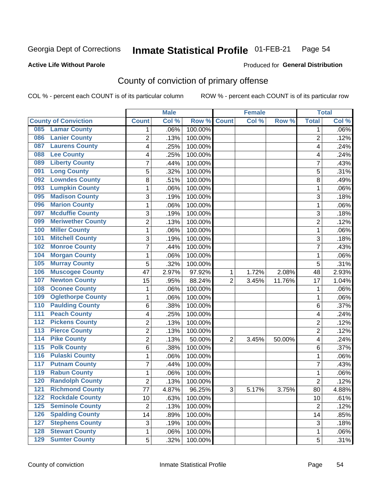#### Inmate Statistical Profile 01-FEB-21 Page 54

### **Active Life Without Parole**

### **Produced for General Distribution**

## County of conviction of primary offense

COL % - percent each COUNT is of its particular column

|                                           |                | <b>Male</b> |         |                | <b>Female</b> |        |                | <b>Total</b> |
|-------------------------------------------|----------------|-------------|---------|----------------|---------------|--------|----------------|--------------|
| <b>County of Conviction</b>               | <b>Count</b>   | Col %       | Row %   | <b>Count</b>   | Col %         | Row %  | <b>Total</b>   | Col %        |
| <b>Lamar County</b><br>085                | 1              | .06%        | 100.00% |                |               |        | 1              | $.06\%$      |
| <b>Lanier County</b><br>086               | $\overline{2}$ | .13%        | 100.00% |                |               |        | $\overline{2}$ | .12%         |
| <b>Laurens County</b><br>087              | 4              | .25%        | 100.00% |                |               |        | 4              | .24%         |
| <b>Lee County</b><br>088                  | 4              | .25%        | 100.00% |                |               |        | 4              | .24%         |
| <b>Liberty County</b><br>089              | 7              | .44%        | 100.00% |                |               |        | 7              | .43%         |
| <b>Long County</b><br>091                 | 5              | .32%        | 100.00% |                |               |        | 5              | .31%         |
| <b>Lowndes County</b><br>092              | 8              | .51%        | 100.00% |                |               |        | 8              | .49%         |
| <b>Lumpkin County</b><br>093              | 1              | .06%        | 100.00% |                |               |        | $\mathbf{1}$   | .06%         |
| <b>Madison County</b><br>095              | 3              | .19%        | 100.00% |                |               |        | 3              | .18%         |
| <b>Marion County</b><br>096               | 1              | .06%        | 100.00% |                |               |        | $\mathbf{1}$   | .06%         |
| <b>Mcduffie County</b><br>097             | 3              | .19%        | 100.00% |                |               |        | 3              | .18%         |
| <b>Meriwether County</b><br>099           | $\overline{2}$ | .13%        | 100.00% |                |               |        | $\overline{2}$ | .12%         |
| <b>Miller County</b><br>100               | 1              | .06%        | 100.00% |                |               |        | $\mathbf{1}$   | .06%         |
| <b>Mitchell County</b><br>101             | 3              | .19%        | 100.00% |                |               |        | 3              | .18%         |
| <b>Monroe County</b><br>102               | 7              | .44%        | 100.00% |                |               |        | $\overline{7}$ | .43%         |
| <b>Morgan County</b><br>104               | 1              | .06%        | 100.00% |                |               |        | $\mathbf{1}$   | .06%         |
| <b>Murray County</b><br>105               | 5              | .32%        | 100.00% |                |               |        | 5              | .31%         |
| <b>Muscogee County</b><br>106             | 47             | 2.97%       | 97.92%  | 1              | 1.72%         | 2.08%  | 48             | 2.93%        |
| <b>Newton County</b><br>107               | 15             | .95%        | 88.24%  | $\overline{2}$ | 3.45%         | 11.76% | 17             | 1.04%        |
| <b>Oconee County</b><br>108               | 1              | .06%        | 100.00% |                |               |        | 1              | .06%         |
| <b>Oglethorpe County</b><br>109           | 1              | .06%        | 100.00% |                |               |        | 1              | .06%         |
| <b>Paulding County</b><br>110             | 6              | .38%        | 100.00% |                |               |        | 6              | .37%         |
| <b>Peach County</b><br>111                | 4              | .25%        | 100.00% |                |               |        | 4              | .24%         |
| <b>Pickens County</b><br>$\overline{112}$ | $\overline{2}$ | .13%        | 100.00% |                |               |        | $\overline{2}$ | .12%         |
| <b>Pierce County</b><br>113               | 2              | .13%        | 100.00% |                |               |        | $\overline{2}$ | .12%         |
| <b>Pike County</b><br>$\overline{114}$    | $\overline{2}$ | .13%        | 50.00%  | $\overline{2}$ | 3.45%         | 50.00% | 4              | .24%         |
| <b>Polk County</b><br>$\overline{115}$    | 6              | .38%        | 100.00% |                |               |        | 6              | .37%         |
| <b>Pulaski County</b><br>116              | 1              | .06%        | 100.00% |                |               |        | 1              | .06%         |
| <b>Putnam County</b><br>117               | 7              | .44%        | 100.00% |                |               |        | 7              | .43%         |
| <b>Rabun County</b><br>119                | 1              | .06%        | 100.00% |                |               |        | $\mathbf{1}$   | .06%         |
| <b>Randolph County</b><br>120             | $\overline{2}$ | .13%        | 100.00% |                |               |        | $\overline{2}$ | .12%         |
| <b>Richmond County</b><br>121             | 77             | 4.87%       | 96.25%  | 3              | 5.17%         | 3.75%  | 80             | 4.88%        |
| <b>Rockdale County</b><br>122             | 10             | .63%        | 100.00% |                |               |        | 10             | .61%         |
| <b>Seminole County</b><br>$125$           | $\overline{2}$ | .13%        | 100.00% |                |               |        | $\overline{2}$ | .12%         |
| <b>Spalding County</b><br>126             | 14             | .89%        | 100.00% |                |               |        | 14             | .85%         |
| <b>Stephens County</b><br>127             | 3              | .19%        | 100.00% |                |               |        | 3              | .18%         |
| <b>Stewart County</b><br>128              | 1              | .06%        | 100.00% |                |               |        | 1              | .06%         |
| <b>Sumter County</b><br>129               | 5              | .32%        | 100.00% |                |               |        | 5              | .31%         |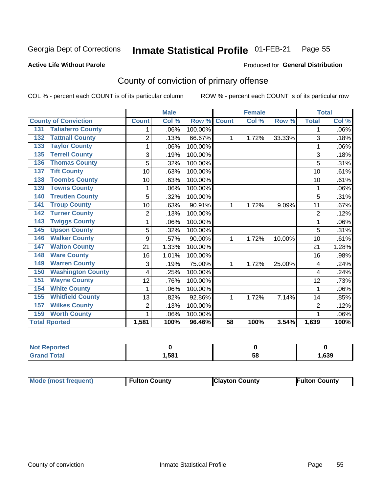#### Inmate Statistical Profile 01-FEB-21 Page 55

**Produced for General Distribution** 

#### **Active Life Without Parole**

## County of conviction of primary offense

COL % - percent each COUNT is of its particular column

|                                 |                | <b>Male</b> |         |                 | <b>Female</b> |        |                | <b>Total</b> |
|---------------------------------|----------------|-------------|---------|-----------------|---------------|--------|----------------|--------------|
| <b>County of Conviction</b>     | <b>Count</b>   | Col %       | Row %   | <b>Count</b>    | Col %         | Row %  | <b>Total</b>   | Col %        |
| <b>Taliaferro County</b><br>131 | 1              | .06%        | 100.00% |                 |               |        | 1              | .06%         |
| <b>Tattnall County</b><br>132   | $\overline{2}$ | .13%        | 66.67%  | 1               | 1.72%         | 33.33% | 3              | .18%         |
| <b>Taylor County</b><br>133     | 1              | .06%        | 100.00% |                 |               |        | 1              | .06%         |
| <b>Terrell County</b><br>135    | 3              | .19%        | 100.00% |                 |               |        | 3              | .18%         |
| <b>Thomas County</b><br>136     | 5              | .32%        | 100.00% |                 |               |        | 5              | .31%         |
| <b>Tift County</b><br>137       | 10             | .63%        | 100.00% |                 |               |        | 10             | .61%         |
| <b>Toombs County</b><br>138     | 10             | .63%        | 100.00% |                 |               |        | 10             | .61%         |
| <b>Towns County</b><br>139      |                | .06%        | 100.00% |                 |               |        | 1              | .06%         |
| <b>Treutlen County</b><br>140   | 5              | .32%        | 100.00% |                 |               |        | 5              | .31%         |
| <b>Troup County</b><br>141      | 10             | .63%        | 90.91%  | 1               | 1.72%         | 9.09%  | 11             | .67%         |
| <b>Turner County</b><br>142     | $\overline{2}$ | .13%        | 100.00% |                 |               |        | $\overline{2}$ | .12%         |
| <b>Twiggs County</b><br>143     | 1              | .06%        | 100.00% |                 |               |        | 1              | .06%         |
| <b>Upson County</b><br>145      | 5              | .32%        | 100.00% |                 |               |        | 5              | .31%         |
| <b>Walker County</b><br>146     | 9              | .57%        | 90.00%  | 1               | 1.72%         | 10.00% | 10             | .61%         |
| <b>Walton County</b><br>147     | 21             | 1.33%       | 100.00% |                 |               |        | 21             | 1.28%        |
| <b>Ware County</b><br>148       | 16             | 1.01%       | 100.00% |                 |               |        | 16             | .98%         |
| <b>Warren County</b><br>149     | 3              | .19%        | 75.00%  | 1               | 1.72%         | 25.00% | 4              | .24%         |
| <b>Washington County</b><br>150 | 4              | .25%        | 100.00% |                 |               |        | 4              | .24%         |
| <b>Wayne County</b><br>151      | 12             | .76%        | 100.00% |                 |               |        | 12             | .73%         |
| <b>White County</b><br>154      | 1              | .06%        | 100.00% |                 |               |        | 1              | .06%         |
| <b>Whitfield County</b><br>155  | 13             | .82%        | 92.86%  | 1               | 1.72%         | 7.14%  | 14             | .85%         |
| <b>Wilkes County</b><br>157     | $\overline{2}$ | .13%        | 100.00% |                 |               |        | $\overline{2}$ | .12%         |
| <b>Worth County</b><br>159      | 1              | .06%        | 100.00% |                 |               |        |                | .06%         |
| <b>Total Rported</b>            | 1,581          | 100%        | 96.46%  | $\overline{58}$ | 100%          | 3.54%  | 1,639          | 100%         |

| rtea  |      |    |      |
|-------|------|----|------|
| Cotot | .581 | ວເ | ,639 |

|  | Mode (most frequent) | <b>Fulton County</b> | <b>Clayton County</b> | <b>Fulton County</b> |
|--|----------------------|----------------------|-----------------------|----------------------|
|--|----------------------|----------------------|-----------------------|----------------------|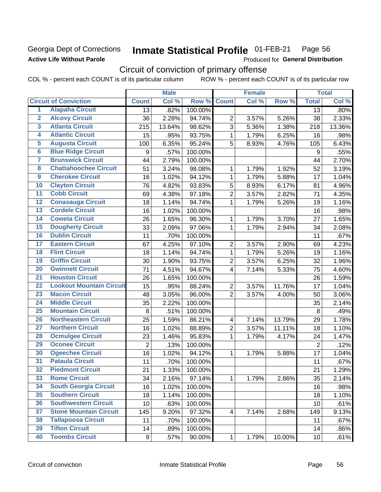### Georgia Dept of Corrections **Active Life Without Parole**

#### Inmate Statistical Profile 01-FEB-21 Page 56

Produced for General Distribution

## Circuit of conviction of primary offense

|                         |                                 |                | <b>Male</b> |         |                         | <b>Female</b> |        |                 | <b>Total</b> |
|-------------------------|---------------------------------|----------------|-------------|---------|-------------------------|---------------|--------|-----------------|--------------|
|                         | <b>Circuit of Conviction</b>    | <b>Count</b>   | Col %       | Row %   | <b>Count</b>            | Col %         | Row %  | <b>Total</b>    | Col %        |
| 1                       | <b>Alapaha Circuit</b>          | 13             | .82%        | 100.00% |                         |               |        | 13              | .80%         |
| $\overline{2}$          | <b>Alcovy Circuit</b>           | 36             | 2.28%       | 94.74%  | $\overline{2}$          | 3.57%         | 5.26%  | 38              | 2.33%        |
| $\overline{\mathbf{3}}$ | <b>Atlanta Circuit</b>          | 215            | 13.64%      | 98.62%  | 3                       | 5.36%         | 1.38%  | 218             | 13.36%       |
| 4                       | <b>Atlantic Circuit</b>         | 15             | .95%        | 93.75%  | $\mathbf{1}$            | 1.79%         | 6.25%  | 16              | .98%         |
| $\overline{\mathbf{5}}$ | <b>Augusta Circuit</b>          | 100            | 6.35%       | 95.24%  | 5                       | 8.93%         | 4.76%  | 105             | 6.43%        |
| $\overline{6}$          | <b>Blue Ridge Circuit</b>       | 9              | .57%        | 100.00% |                         |               |        | 9               | .55%         |
| 7                       | <b>Brunswick Circuit</b>        | 44             | 2.79%       | 100.00% |                         |               |        | 44              | 2.70%        |
| 8                       | <b>Chattahoochee Circuit</b>    | 51             | 3.24%       | 98.08%  | 1                       | 1.79%         | 1.92%  | 52              | 3.19%        |
| $\overline{9}$          | <b>Cherokee Circuit</b>         | 16             | 1.02%       | 94.12%  | 1                       | 1.79%         | 5.88%  | 17              | 1.04%        |
| 10                      | <b>Clayton Circuit</b>          | 76             | 4.82%       | 93.83%  | 5                       | 8.93%         | 6.17%  | 81              | 4.96%        |
| $\overline{11}$         | <b>Cobb Circuit</b>             | 69             | 4.38%       | 97.18%  | $\overline{2}$          | 3.57%         | 2.82%  | 71              | 4.35%        |
| $\overline{12}$         | <b>Conasauga Circuit</b>        | 18             | 1.14%       | 94.74%  | $\mathbf{1}$            | 1.79%         | 5.26%  | 19              | 1.16%        |
| $\overline{13}$         | <b>Cordele Circuit</b>          | 16             | 1.02%       | 100.00% |                         |               |        | 16              | .98%         |
| $\overline{14}$         | <b>Coweta Circuit</b>           | 26             | 1.65%       | 96.30%  | $\mathbf{1}$            | 1.79%         | 3.70%  | 27              | 1.65%        |
| $\overline{15}$         | <b>Dougherty Circuit</b>        | 33             | 2.09%       | 97.06%  | $\mathbf{1}$            | 1.79%         | 2.94%  | 34              | 2.08%        |
| 16                      | <b>Dublin Circuit</b>           | 11             | .70%        | 100.00% |                         |               |        | 11              | .67%         |
| $\overline{17}$         | <b>Eastern Circuit</b>          | 67             | 4.25%       | 97.10%  | $\overline{2}$          | 3.57%         | 2.90%  | 69              | 4.23%        |
| $\overline{18}$         | <b>Flint Circuit</b>            | 18             | 1.14%       | 94.74%  | $\mathbf{1}$            | 1.79%         | 5.26%  | 19              | 1.16%        |
| 19                      | <b>Griffin Circuit</b>          | 30             | 1.90%       | 93.75%  | $\overline{2}$          | 3.57%         | 6.25%  | 32              | 1.96%        |
| 20                      | <b>Gwinnett Circuit</b>         | 71             | 4.51%       | 94.67%  | $\overline{4}$          | 7.14%         | 5.33%  | 75              | 4.60%        |
| $\overline{21}$         | <b>Houston Circuit</b>          | 26             | 1.65%       | 100.00% |                         |               |        | 26              | 1.59%        |
| $\overline{22}$         | <b>Lookout Mountain Circuit</b> | 15             | .95%        | 88.24%  | $\overline{2}$          | 3.57%         | 11.76% | 17              | 1.04%        |
| 23                      | <b>Macon Circuit</b>            | 48             | 3.05%       | 96.00%  | $\overline{2}$          | 3.57%         | 4.00%  | 50              | 3.06%        |
| 24                      | <b>Middle Circuit</b>           | 35             | 2.22%       | 100.00% |                         |               |        | 35              | 2.14%        |
| $\overline{25}$         | <b>Mountain Circuit</b>         | 8              | .51%        | 100.00% |                         |               |        | 8               | .49%         |
| 26                      | <b>Northeastern Circuit</b>     | 25             | 1.59%       | 86.21%  | $\overline{\mathbf{4}}$ | 7.14%         | 13.79% | 29              | 1.78%        |
| $\overline{27}$         | <b>Northern Circuit</b>         | 16             | 1.02%       | 88.89%  | $\overline{2}$          | 3.57%         | 11.11% | 18              | 1.10%        |
| 28                      | <b>Ocmulgee Circuit</b>         | 23             | 1.46%       | 95.83%  | $\mathbf{1}$            | 1.79%         | 4.17%  | 24              | 1.47%        |
| 29                      | <b>Oconee Circuit</b>           | $\overline{2}$ | .13%        | 100.00% |                         |               |        | $\overline{2}$  | .12%         |
| 30                      | <b>Ogeechee Circuit</b>         | 16             | 1.02%       | 94.12%  | $\mathbf{1}$            | 1.79%         | 5.88%  | 17              | 1.04%        |
| $\overline{31}$         | <b>Pataula Circuit</b>          | 11             | .70%        | 100.00% |                         |               |        | 11              | .67%         |
| 32                      | <b>Piedmont Circuit</b>         | 21             | 1.33%       | 100.00% |                         |               |        | 21              | 1.29%        |
| 33                      | <b>Rome Circuit</b>             | 34             | 2.16%       | 97.14%  | $\mathbf 1$             | 1.79%         | 2.86%  | 35              | 2.14%        |
| 34                      | <b>South Georgia Circuit</b>    | 16             | 1.02%       | 100.00% |                         |               |        | 16              | .98%         |
| 35                      | <b>Southern Circuit</b>         | 18             | 1.14%       | 100.00% |                         |               |        | 18              | 1.10%        |
| 36                      | <b>Southwestern Circuit</b>     | 10             | .63%        | 100.00% |                         |               |        | 10              | .61%         |
| 37                      | <b>Stone Mountain Circuit</b>   | 145            | 9.20%       | 97.32%  | 4                       | 7.14%         | 2.68%  | 149             | 9.13%        |
| 38                      | <b>Tallapoosa Circuit</b>       | 11             | .70%        | 100.00% |                         |               |        | 11              | .67%         |
| 39                      | <b>Tifton Circuit</b>           | 14             | .89%        | 100.00% |                         |               |        | 14              | .86%         |
| 40                      | <b>Toombs Circuit</b>           | 9              | .57%        | 90.00%  | $\mathbf{1}$            | 1.79%         | 10.00% | 10 <sub>1</sub> | .61%         |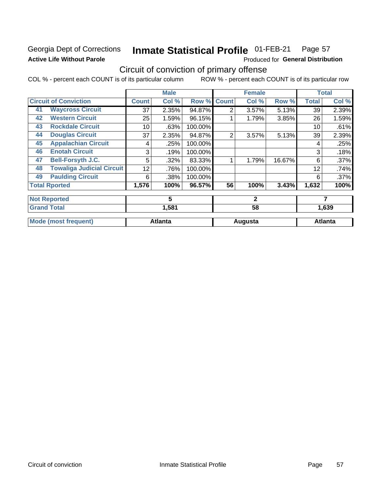## Georgia Dept of Corrections **Active Life Without Parole**

#### **Inmate Statistical Profile 01-FEB-21** Page 57

Produced for General Distribution

## Circuit of conviction of primary offense

|    |                                  |              | <b>Male</b>    |         |                | <b>Female</b> |        |              | <b>Total</b>   |
|----|----------------------------------|--------------|----------------|---------|----------------|---------------|--------|--------------|----------------|
|    | <b>Circuit of Conviction</b>     | <b>Count</b> | Col %          | Row %   | <b>Count</b>   | Col %         | Row %  | <b>Total</b> | Col %          |
| 41 | <b>Waycross Circuit</b>          | 37           | 2.35%          | 94.87%  | $\overline{2}$ | 3.57%         | 5.13%  | 39           | 2.39%          |
| 42 | <b>Western Circuit</b>           | 25           | 1.59%          | 96.15%  |                | 1.79%         | 3.85%  | 26           | 1.59%          |
| 43 | <b>Rockdale Circuit</b>          | 10           | .63%           | 100.00% |                |               |        | 10           | .61%           |
| 44 | <b>Douglas Circuit</b>           | 37           | 2.35%          | 94.87%  | $\overline{2}$ | 3.57%         | 5.13%  | 39           | 2.39%          |
| 45 | <b>Appalachian Circuit</b>       | 4            | .25%           | 100.00% |                |               |        | 4            | .25%           |
| 46 | <b>Enotah Circuit</b>            | 3            | .19%           | 100.00% |                |               |        | 3            | .18%           |
| 47 | <b>Bell-Forsyth J.C.</b>         | 5            | .32%           | 83.33%  |                | 1.79%         | 16.67% | 6            | .37%           |
| 48 | <b>Towaliga Judicial Circuit</b> | 12           | .76%           | 100.00% |                |               |        | 12           | .74%           |
| 49 | <b>Paulding Circuit</b>          | 6            | .38%           | 100.00% |                |               |        | 6            | .37%           |
|    | <b>Total Rported</b>             | 1,576        | 100%           | 96.57%  | 56             | 100%          | 3.43%  | 1,632        | 100%           |
|    | <b>Not Reported</b>              |              | 5              |         |                | $\mathbf{2}$  |        |              | 7              |
|    | <b>Grand Total</b>               |              | 1,581          |         |                | 58            |        |              | 1,639          |
|    | <b>Mode (most frequent)</b>      |              | <b>Atlanta</b> |         |                | Augusta       |        |              | <b>Atlanta</b> |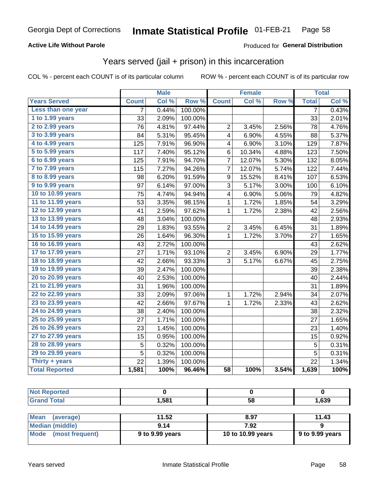### **Active Life Without Parole**

### Produced for General Distribution

## Years served (jail + prison) in this incarceration

COL % - percent each COUNT is of its particular column

|                        |                 | <b>Male</b> |                  |                 | <b>Female</b> |       |                | <b>Total</b> |
|------------------------|-----------------|-------------|------------------|-----------------|---------------|-------|----------------|--------------|
| <b>Years Served</b>    | <b>Count</b>    | Col %       | Row <sup>%</sup> | <b>Count</b>    | Col %         | Row % | <b>Total</b>   | Col %        |
| Less than one year     | 7               | 0.44%       | 100.00%          |                 |               |       | 7              | 0.43%        |
| 1 to 1.99 years        | 33              | 2.09%       | 100.00%          |                 |               |       | 33             | 2.01%        |
| 2 to 2.99 years        | 76              | 4.81%       | 97.44%           | $\overline{2}$  | 3.45%         | 2.56% | 78             | 4.76%        |
| 3 to 3.99 years        | 84              | 5.31%       | 95.45%           | 4               | 6.90%         | 4.55% | 88             | 5.37%        |
| 4 to 4.99 years        | 125             | 7.91%       | 96.90%           | 4               | 6.90%         | 3.10% | 129            | 7.87%        |
| 5 to 5.99 years        | 117             | 7.40%       | 95.12%           | 6               | 10.34%        | 4.88% | 123            | 7.50%        |
| 6 to 6.99 years        | 125             | 7.91%       | 94.70%           | $\overline{7}$  | 12.07%        | 5.30% | 132            | 8.05%        |
| 7 to 7.99 years        | 115             | 7.27%       | 94.26%           | 7               | 12.07%        | 5.74% | 122            | 7.44%        |
| <b>8 to 8.99 years</b> | 98              | 6.20%       | 91.59%           | 9               | 15.52%        | 8.41% | 107            | 6.53%        |
| 9 to 9.99 years        | 97              | 6.14%       | 97.00%           | 3               | 5.17%         | 3.00% | 100            | 6.10%        |
| 10 to 10.99 years      | $\overline{75}$ | 4.74%       | 94.94%           | 4               | 6.90%         | 5.06% | 79             | 4.82%        |
| 11 to 11.99 years      | 53              | 3.35%       | 98.15%           | 1               | 1.72%         | 1.85% | 54             | 3.29%        |
| 12 to 12.99 years      | 41              | 2.59%       | 97.62%           | 1               | 1.72%         | 2.38% | 42             | 2.56%        |
| 13 to 13.99 years      | 48              | 3.04%       | 100.00%          |                 |               |       | 48             | 2.93%        |
| 14 to 14.99 years      | 29              | 1.83%       | 93.55%           | $\overline{c}$  | 3.45%         | 6.45% | 31             | 1.89%        |
| 15 to 15.99 years      | 26              | 1.64%       | 96.30%           | $\mathbf 1$     | 1.72%         | 3.70% | 27             | 1.65%        |
| 16 to 16.99 years      | 43              | 2.72%       | 100.00%          |                 |               |       | 43             | 2.62%        |
| 17 to 17.99 years      | 27              | 1.71%       | 93.10%           | $\overline{c}$  | 3.45%         | 6.90% | 29             | 1.77%        |
| 18 to 18.99 years      | 42              | 2.66%       | 93.33%           | 3               | 5.17%         | 6.67% | 45             | 2.75%        |
| 19 to 19.99 years      | 39              | 2.47%       | 100.00%          |                 |               |       | 39             | 2.38%        |
| 20 to 20.99 years      | 40              | 2.53%       | 100.00%          |                 |               |       | 40             | 2.44%        |
| 21 to 21.99 years      | 31              | 1.96%       | 100.00%          |                 |               |       | 31             | 1.89%        |
| 22 to 22.99 years      | 33              | 2.09%       | 97.06%           | 1               | 1.72%         | 2.94% | 34             | 2.07%        |
| 23 to 23.99 years      | 42              | 2.66%       | 97.67%           | 1               | 1.72%         | 2.33% | 43             | 2.62%        |
| 24 to 24.99 years      | 38              | 2.40%       | 100.00%          |                 |               |       | 38             | 2.32%        |
| 25 to 25.99 years      | 27              | 1.71%       | 100.00%          |                 |               |       | 27             | 1.65%        |
| 26 to 26.99 years      | 23              | 1.45%       | 100.00%          |                 |               |       | 23             | 1.40%        |
| 27 to 27.99 years      | 15              | 0.95%       | 100.00%          |                 |               |       | 15             | 0.92%        |
| 28 to 28.99 years      | 5               | 0.32%       | 100.00%          |                 |               |       | 5              | 0.31%        |
| 29 to 29.99 years      | 5               | 0.32%       | 100.00%          |                 |               |       | $\overline{5}$ | 0.31%        |
| Thirty + years         | 22              | 1.39%       | 100.00%          |                 |               |       | 22             | 1.34%        |
| <b>Total Reported</b>  | 1,581           | 100%        | 96.46%           | $\overline{58}$ | 100%          | 3.54% | 1,639          | 100%         |

| <b>Not Reported</b>            |                 |                   |                 |
|--------------------------------|-----------------|-------------------|-----------------|
| <b>Grand Total</b>             | 1.581           | 58                | 1,639           |
|                                |                 |                   |                 |
| <b>Mean</b><br>(average)       | 11.52           | 8.97              | 11.43           |
| <b>Median (middle)</b>         | 9.14            | 7.92              |                 |
| <b>Mode</b><br>(most frequent) | 9 to 9.99 years | 10 to 10.99 years | 9 to 9.99 years |
|                                |                 |                   |                 |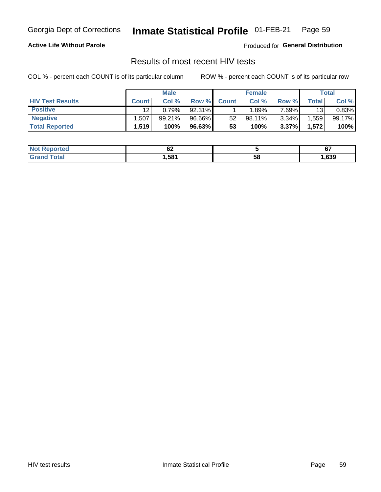#### **Inmate Statistical Profile 01-FEB-21** Page 59

### **Active Life Without Parole**

Produced for General Distribution

## Results of most recent HIV tests

COL % - percent each COUNT is of its particular column

|                         | <b>Male</b>       |        |        | <b>Female</b> |           |          | Total       |        |
|-------------------------|-------------------|--------|--------|---------------|-----------|----------|-------------|--------|
| <b>HIV Test Results</b> | <b>Count</b>      | Col%   | Row %I | <b>Count</b>  | Col %     | Row %    | $\tau$ otal | Col %  |
| <b>Positive</b>         | 12                | 0.79%  | 92.31% |               | .89%      | 7.69%    | 13          | 0.83%  |
| <b>Negative</b>         | .507              | 99.21% | 96.66% | 52            | $98.11\%$ | $3.34\%$ | .559        | 99.17% |
| <b>Total Reported</b>   | $.519$ $^{\circ}$ | 100%   | 96.63% | 53            | 100%      | 3.37%    | 1,572       | 100%   |

| <b>Not Reported</b>         | ~~<br><u>UL</u> |    | $\sim$<br>o. |
|-----------------------------|-----------------|----|--------------|
| <b>Total</b><br><b>Gran</b> | .581            | 58 | ,639         |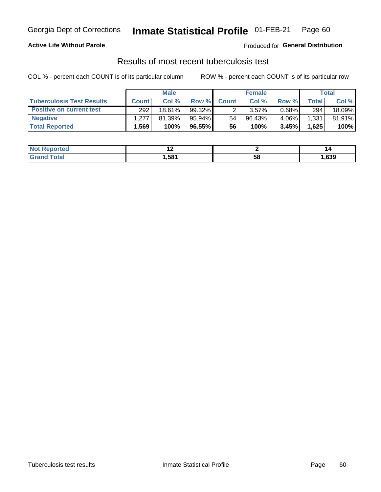## Georgia Dept of Corrections **Inmate Statistical Profile** 01-FEB-21 Page 60

### **Active Life Without Parole**

Produced for **General Distribution**

## Results of most recent tuberculosis test

|                                  | <b>Male</b>        |        |           | <b>Female</b> |           |          | Total        |        |
|----------------------------------|--------------------|--------|-----------|---------------|-----------|----------|--------------|--------|
| <b>Tuberculosis Test Results</b> | <b>Count</b>       | Col %  | Row %I    | <b>Count</b>  | Col %     | Row %    | <b>Total</b> | Col %  |
| <b>Positive on current test</b>  | 292                | 18.61% | $99.32\%$ |               | 3.57%     | $0.68\%$ | 294          | 18.09% |
| <b>Negative</b>                  | 1.277 <sub>1</sub> | 81.39% | 95.94%    | 54            | $96.43\%$ | 4.06%    | 1,331        | 81.91% |
| <b>Total Reported</b>            | ,569               | 100%   | 96.55%    | 56            | 100%      | 3.45%    | 1,625        | 100%   |

| ported<br>I NOT  | . .  |    | ''   |
|------------------|------|----|------|
| 'otal<br>$G$ ren | ,581 | эŏ | ,639 |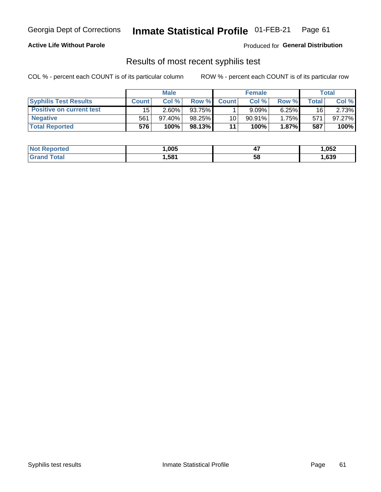## Georgia Dept of Corrections **Inmate Statistical Profile** 01-FEB-21 Page 61

### **Active Life Without Parole**

Produced for **General Distribution**

### Results of most recent syphilis test

|                                 | <b>Male</b>  |          |        | <b>Female</b> |             |          | Total |        |
|---------------------------------|--------------|----------|--------|---------------|-------------|----------|-------|--------|
| <b>Syphilis Test Results</b>    | <b>Count</b> | Col%     | Row %I | <b>Count</b>  | Col%        | Row %    | Total | Col %  |
| <b>Positive on current test</b> | 15           | $2.60\%$ | 93.75% |               | $9.09\%$    | $6.25\%$ | 16    | 2.73%  |
| <b>Negative</b>                 | 561          | 97.40%   | 98.25% | 10            | $90.91\%$   | 1.75%    | 571   | 97.27% |
| <b>Total Reported</b>           | 576'         | 100%     | 98.13% | 44            | <b>100%</b> | 1.87%    | 587   | 100%   |

| <b>Not Reported</b> | ,005  | ,,<br>. . | 1,052 |
|---------------------|-------|-----------|-------|
| Total<br>Grand      | 581,ا | 58        | ,639  |